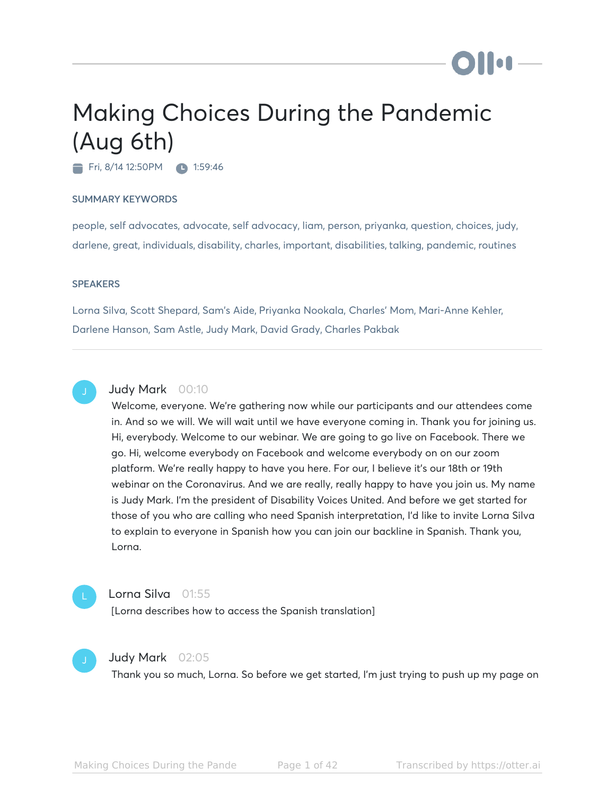# Making Choices During the Pandemic (Aug 6th)

Fri, 8/14 12:50 PM 1:59:46

#### SUMMARY KEYWORDS

people, self advocates, advocate, self advocacy, liam, person, priyanka, question, choices, judy, darlene, great, individuals, disability, charles, important, disabilities, talking, pandemic, routines

#### **SPEAKERS**

Lorna Silva, Scott Shepard, Sam's Aide, Priyanka Nookala, Charles' Mom, Mari-Anne Kehler, Darlene Hanson, Sam Astle, Judy Mark, David Grady, Charles Pakbak



#### Judy Mark 00:10

Welcome, everyone. We're gathering now while our participants and our attendees come in. And so we will. We will wait until we have everyone coming in. Thank you for joining us. Hi, everybody. Welcome to our webinar. We are going to go live on Facebook. There we go. Hi, welcome everybody on Facebook and welcome everybody on on our zoom platform. We're really happy to have you here. For our, I believe it's our 18th or 19th webinar on the Coronavirus. And we are really, really happy to have you join us. My name is Judy Mark. I'm the president of Disability Voices United. And before we get started for those of you who are calling who need Spanish interpretation, I'd like to invite Lorna Silva to explain to everyone in Spanish how you can join our backline in Spanish. Thank you, Lorna.



#### Lorna Silva 01:55

[Lorna describes how to access the Spanish translation]



#### Judy Mark 02:05

Thank you so much, Lorna. So before we get started, I'm just trying to push up my page on

**110**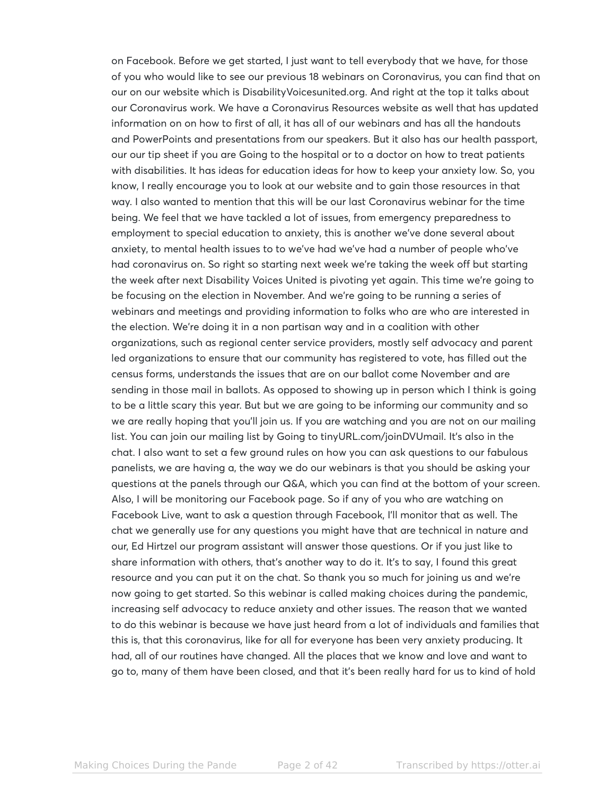on Facebook. Before we get started, I just want to tell everybody that we have, for those of you who would like to see our previous 18 webinars on Coronavirus, you can find that on our on our website which is DisabilityVoicesunited.org. And right at the top it talks about our Coronavirus work. We have a Coronavirus Resources website as well that has updated information on on how to first of all, it has all of our webinars and has all the handouts and PowerPoints and presentations from our speakers. But it also has our health passport, our our tip sheet if you are Going to the hospital or to a doctor on how to treat patients with disabilities. It has ideas for education ideas for how to keep your anxiety low. So, you know, I really encourage you to look at our website and to gain those resources in that way. I also wanted to mention that this will be our last Coronavirus webinar for the time being. We feel that we have tackled a lot of issues, from emergency preparedness to employment to special education to anxiety, this is another we've done several about anxiety, to mental health issues to to we've had we've had a number of people who've had coronavirus on. So right so starting next week we're taking the week off but starting the week after next Disability Voices United is pivoting yet again. This time we're going to be focusing on the election in November. And we're going to be running a series of webinars and meetings and providing information to folks who are who are interested in the election. We're doing it in a non partisan way and in a coalition with other organizations, such as regional center service providers, mostly self advocacy and parent led organizations to ensure that our community has registered to vote, has filled out the census forms, understands the issues that are on our ballot come November and are sending in those mail in ballots. As opposed to showing up in person which I think is going to be a little scary this year. But but we are going to be informing our community and so we are really hoping that you'll join us. If you are watching and you are not on our mailing list. You can join our mailing list by Going to tinyURL.com/joinDVUmail. It's also in the chat. I also want to set a few ground rules on how you can ask questions to our fabulous panelists, we are having a, the way we do our webinars is that you should be asking your questions at the panels through our Q&A, which you can find at the bottom of your screen. Also, I will be monitoring our Facebook page. So if any of you who are watching on Facebook Live, want to ask a question through Facebook, I'll monitor that as well. The chat we generally use for any questions you might have that are technical in nature and our, Ed Hirtzel our program assistant will answer those questions. Or if you just like to share information with others, that's another way to do it. It's to say, I found this great resource and you can put it on the chat. So thank you so much for joining us and we're now going to get started. So this webinar is called making choices during the pandemic, increasing self advocacy to reduce anxiety and other issues. The reason that we wanted to do this webinar is because we have just heard from a lot of individuals and families that this is, that this coronavirus, like for all for everyone has been very anxiety producing. It had, all of our routines have changed. All the places that we know and love and want to go to, many of them have been closed, and that it's been really hard for us to kind of hold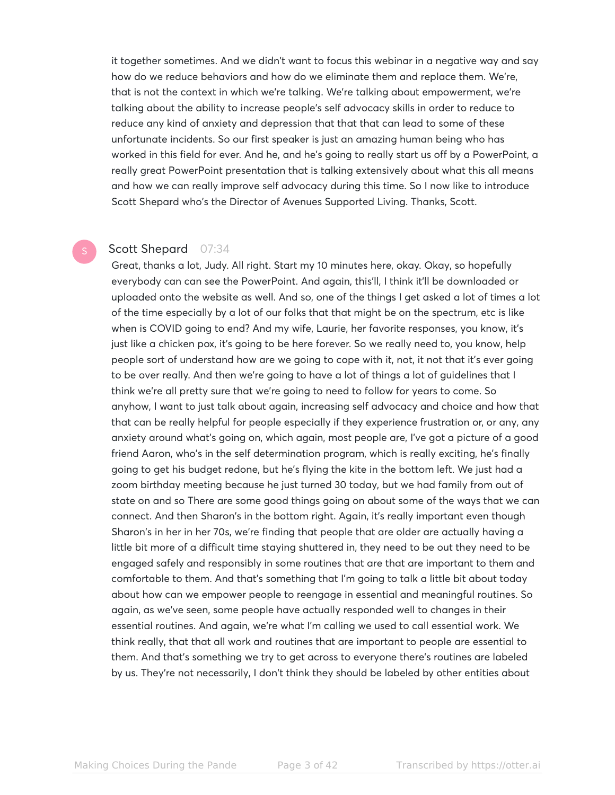it together sometimes. And we didn't want to focus this webinar in a negative way and say how do we reduce behaviors and how do we eliminate them and replace them. We're, that is not the context in which we're talking. We're talking about empowerment, we're talking about the ability to increase people's self advocacy skills in order to reduce to reduce any kind of anxiety and depression that that that can lead to some of these unfortunate incidents. So our first speaker is just an amazing human being who has worked in this field for ever. And he, and he's going to really start us off by a PowerPoint, a really great PowerPoint presentation that is talking extensively about what this all means and how we can really improve self advocacy during this time. So I now like to introduce Scott Shepard who's the Director of Avenues Supported Living. Thanks, Scott.

#### Scott Shepard 07:34

Great, thanks a lot, Judy. All right. Start my 10 minutes here, okay. Okay, so hopefully everybody can can see the PowerPoint. And again, this'll, I think it'll be downloaded or uploaded onto the website as well. And so, one of the things I get asked a lot of times a lot of the time especially by a lot of our folks that that might be on the spectrum, etc is like when is COVID going to end? And my wife, Laurie, her favorite responses, you know, it's just like a chicken pox, it's going to be here forever. So we really need to, you know, help people sort of understand how are we going to cope with it, not, it not that it's ever going to be over really. And then we're going to have a lot of things a lot of guidelines that I think we're all pretty sure that we're going to need to follow for years to come. So anyhow, I want to just talk about again, increasing self advocacy and choice and how that that can be really helpful for people especially if they experience frustration or, or any, any anxiety around what's going on, which again, most people are, I've got a picture of a good friend Aaron, who's in the self determination program, which is really exciting, he's finally going to get his budget redone, but he's flying the kite in the bottom left. We just had a zoom birthday meeting because he just turned 30 today, but we had family from out of state on and so There are some good things going on about some of the ways that we can connect. And then Sharon's in the bottom right. Again, it's really important even though Sharon's in her in her 70s, we're finding that people that are older are actually having a little bit more of a difficult time staying shuttered in, they need to be out they need to be engaged safely and responsibly in some routines that are that are important to them and comfortable to them. And that's something that I'm going to talk a little bit about today about how can we empower people to reengage in essential and meaningful routines. So again, as we've seen, some people have actually responded well to changes in their essential routines. And again, we're what I'm calling we used to call essential work. We think really, that that all work and routines that are important to people are essential to them. And that's something we try to get across to everyone there's routines are labeled by us. They're not necessarily, I don't think they should be labeled by other entities about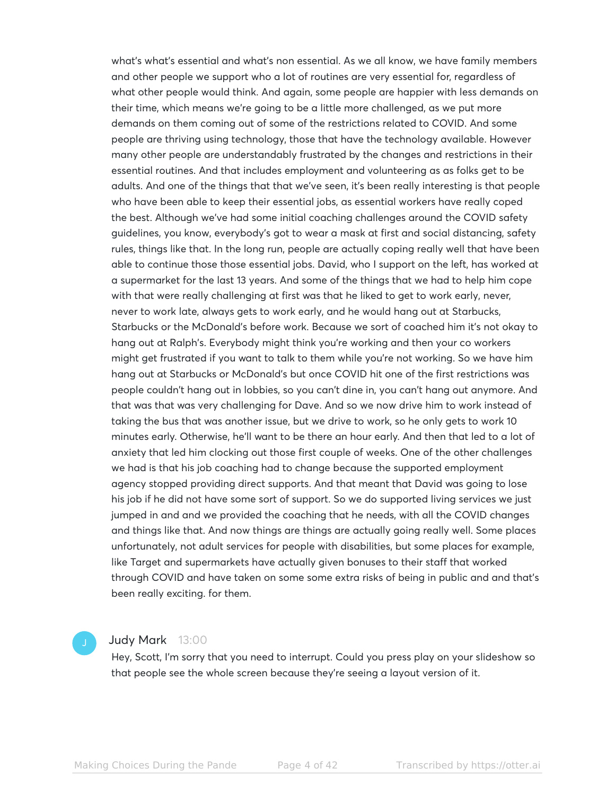what's what's essential and what's non essential. As we all know, we have family members and other people we support who a lot of routines are very essential for, regardless of what other people would think. And again, some people are happier with less demands on their time, which means we're going to be a little more challenged, as we put more demands on them coming out of some of the restrictions related to COVID. And some people are thriving using technology, those that have the technology available. However many other people are understandably frustrated by the changes and restrictions in their essential routines. And that includes employment and volunteering as as folks get to be adults. And one of the things that that we've seen, it's been really interesting is that people who have been able to keep their essential jobs, as essential workers have really coped the best. Although we've had some initial coaching challenges around the COVID safety guidelines, you know, everybody's got to wear a mask at first and social distancing, safety rules, things like that. In the long run, people are actually coping really well that have been able to continue those those essential jobs. David, who I support on the left, has worked at a supermarket for the last 13 years. And some of the things that we had to help him cope with that were really challenging at first was that he liked to get to work early, never, never to work late, always gets to work early, and he would hang out at Starbucks, Starbucks or the McDonald's before work. Because we sort of coached him it's not okay to hang out at Ralph's. Everybody might think you're working and then your co workers might get frustrated if you want to talk to them while you're not working. So we have him hang out at Starbucks or McDonald's but once COVID hit one of the first restrictions was people couldn't hang out in lobbies, so you can't dine in, you can't hang out anymore. And that was that was very challenging for Dave. And so we now drive him to work instead of taking the bus that was another issue, but we drive to work, so he only gets to work 10 minutes early. Otherwise, he'll want to be there an hour early. And then that led to a lot of anxiety that led him clocking out those first couple of weeks. One of the other challenges we had is that his job coaching had to change because the supported employment agency stopped providing direct supports. And that meant that David was going to lose his job if he did not have some sort of support. So we do supported living services we just jumped in and and we provided the coaching that he needs, with all the COVID changes and things like that. And now things are things are actually going really well. Some places unfortunately, not adult services for people with disabilities, but some places for example, like Target and supermarkets have actually given bonuses to their staff that worked through COVID and have taken on some some extra risks of being in public and and that's been really exciting. for them.

#### Judy Mark 13:00

Hey, Scott, I'm sorry that you need to interrupt. Could you press play on your slideshow so that people see the whole screen because they're seeing a layout version of it.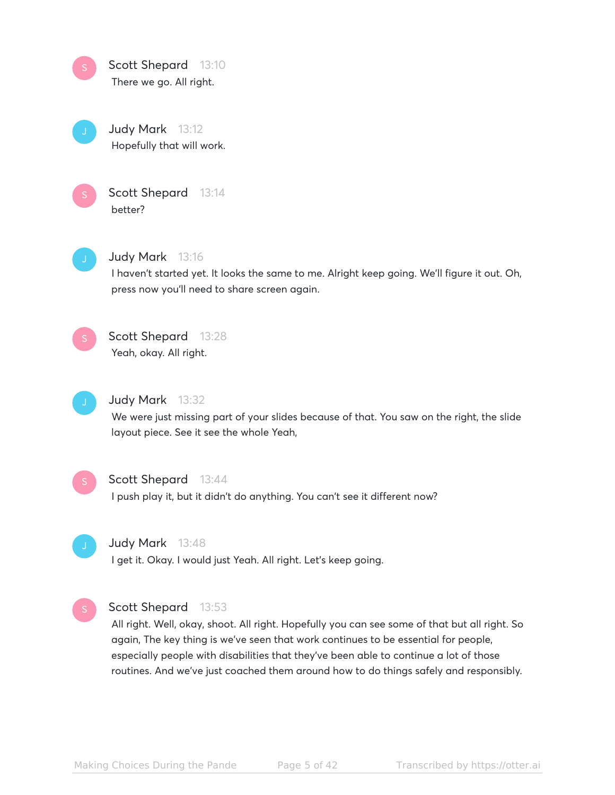



Judy Mark 13:12 Hopefully that will work.



Scott Shepard 13:14 better?



#### Judy Mark 13:16

I haven't started yet. It looks the same to me. Alright keep going. We'll figure it out. Oh, press now you'll need to share screen again.



# Scott Shepard 13:28 Yeah, okay. All right.



### Judy Mark 13:32

We were just missing part of your slides because of that. You saw on the right, the slide layout piece. See it see the whole Yeah,



#### Scott Shepard 13:44

I push play it, but it didn't do anything. You can't see it different now?



#### Judy Mark 13:48

I get it. Okay. I would just Yeah. All right. Let's keep going.



#### Scott Shepard 13:53

All right. Well, okay, shoot. All right. Hopefully you can see some of that but all right. So again, The key thing is we've seen that work continues to be essential for people, especially people with disabilities that they've been able to continue a lot of those routines. And we've just coached them around how to do things safely and responsibly.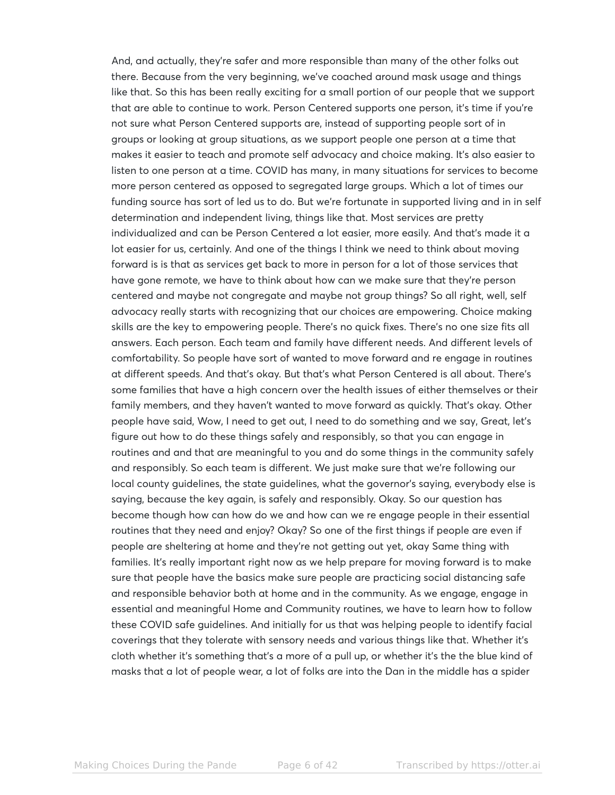And, and actually, they're safer and more responsible than many of the other folks out there. Because from the very beginning, we've coached around mask usage and things like that. So this has been really exciting for a small portion of our people that we support that are able to continue to work. Person Centered supports one person, it's time if you're not sure what Person Centered supports are, instead of supporting people sort of in groups or looking at group situations, as we support people one person at a time that makes it easier to teach and promote self advocacy and choice making. It's also easier to listen to one person at a time. COVID has many, in many situations for services to become more person centered as opposed to segregated large groups. Which a lot of times our funding source has sort of led us to do. But we're fortunate in supported living and in in self determination and independent living, things like that. Most services are pretty individualized and can be Person Centered a lot easier, more easily. And that's made it a lot easier for us, certainly. And one of the things I think we need to think about moving forward is is that as services get back to more in person for a lot of those services that have gone remote, we have to think about how can we make sure that they're person centered and maybe not congregate and maybe not group things? So all right, well, self advocacy really starts with recognizing that our choices are empowering. Choice making skills are the key to empowering people. There's no quick fixes. There's no one size fits all answers. Each person. Each team and family have different needs. And different levels of comfortability. So people have sort of wanted to move forward and re engage in routines at different speeds. And that's okay. But that's what Person Centered is all about. There's some families that have a high concern over the health issues of either themselves or their family members, and they haven't wanted to move forward as quickly. That's okay. Other people have said, Wow, I need to get out, I need to do something and we say, Great, let's figure out how to do these things safely and responsibly, so that you can engage in routines and and that are meaningful to you and do some things in the community safely and responsibly. So each team is different. We just make sure that we're following our local county guidelines, the state guidelines, what the governor's saying, everybody else is saying, because the key again, is safely and responsibly. Okay. So our question has become though how can how do we and how can we re engage people in their essential routines that they need and enjoy? Okay? So one of the first things if people are even if people are sheltering at home and they're not getting out yet, okay Same thing with families. It's really important right now as we help prepare for moving forward is to make sure that people have the basics make sure people are practicing social distancing safe and responsible behavior both at home and in the community. As we engage, engage in essential and meaningful Home and Community routines, we have to learn how to follow these COVID safe guidelines. And initially for us that was helping people to identify facial coverings that they tolerate with sensory needs and various things like that. Whether it's cloth whether it's something that's a more of a pull up, or whether it's the the blue kind of masks that a lot of people wear, a lot of folks are into the Dan in the middle has a spider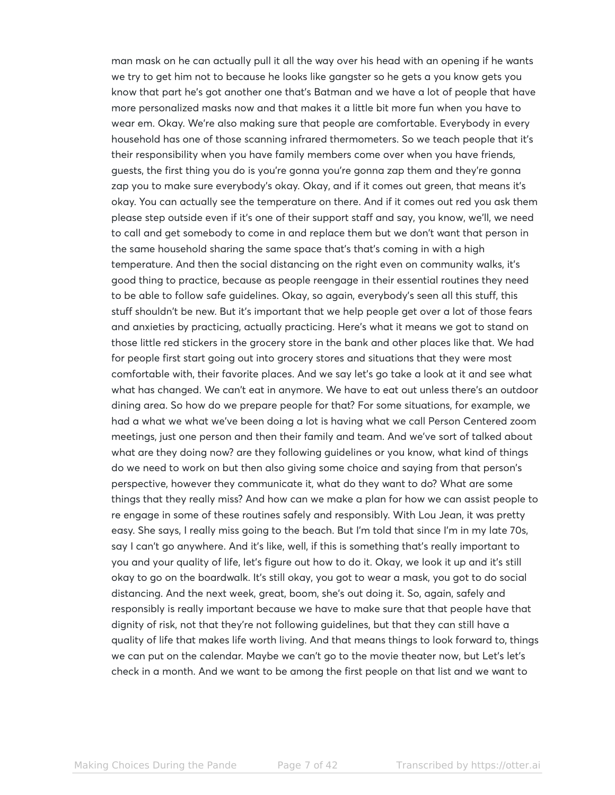man mask on he can actually pull it all the way over his head with an opening if he wants we try to get him not to because he looks like gangster so he gets a you know gets you know that part he's got another one that's Batman and we have a lot of people that have more personalized masks now and that makes it a little bit more fun when you have to wear em. Okay. We're also making sure that people are comfortable. Everybody in every household has one of those scanning infrared thermometers. So we teach people that it's their responsibility when you have family members come over when you have friends, guests, the first thing you do is you're gonna you're gonna zap them and they're gonna zap you to make sure everybody's okay. Okay, and if it comes out green, that means it's okay. You can actually see the temperature on there. And if it comes out red you ask them please step outside even if it's one of their support staff and say, you know, we'll, we need to call and get somebody to come in and replace them but we don't want that person in the same household sharing the same space that's that's coming in with a high temperature. And then the social distancing on the right even on community walks, it's good thing to practice, because as people reengage in their essential routines they need to be able to follow safe guidelines. Okay, so again, everybody's seen all this stuff, this stuff shouldn't be new. But it's important that we help people get over a lot of those fears and anxieties by practicing, actually practicing. Here's what it means we got to stand on those little red stickers in the grocery store in the bank and other places like that. We had for people first start going out into grocery stores and situations that they were most comfortable with, their favorite places. And we say let's go take a look at it and see what what has changed. We can't eat in anymore. We have to eat out unless there's an outdoor dining area. So how do we prepare people for that? For some situations, for example, we had a what we what we've been doing a lot is having what we call Person Centered zoom meetings, just one person and then their family and team. And we've sort of talked about what are they doing now? are they following guidelines or you know, what kind of things do we need to work on but then also giving some choice and saying from that person's perspective, however they communicate it, what do they want to do? What are some things that they really miss? And how can we make a plan for how we can assist people to re engage in some of these routines safely and responsibly. With Lou Jean, it was pretty easy. She says, I really miss going to the beach. But I'm told that since I'm in my late 70s, say I can't go anywhere. And it's like, well, if this is something that's really important to you and your quality of life, let's figure out how to do it. Okay, we look it up and it's still okay to go on the boardwalk. It's still okay, you got to wear a mask, you got to do social distancing. And the next week, great, boom, she's out doing it. So, again, safely and responsibly is really important because we have to make sure that that people have that dignity of risk, not that they're not following guidelines, but that they can still have a quality of life that makes life worth living. And that means things to look forward to, things we can put on the calendar. Maybe we can't go to the movie theater now, but Let's let's check in a month. And we want to be among the first people on that list and we want to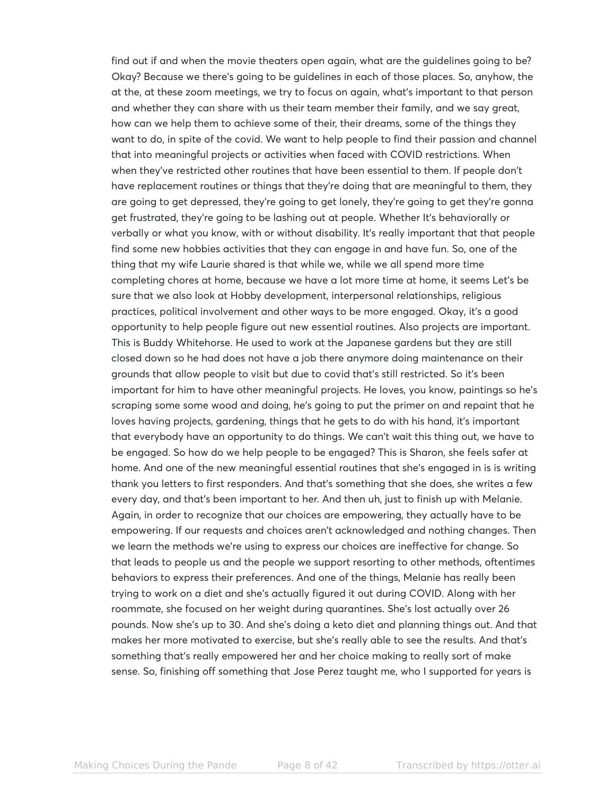find out if and when the movie theaters open again, what are the guidelines going to be? Okay? Because we there's going to be guidelines in each of those places. So, anyhow, the at the, at these zoom meetings, we try to focus on again, what's important to that person and whether they can share with us their team member their family, and we say great, how can we help them to achieve some of their, their dreams, some of the things they want to do, in spite of the covid. We want to help people to find their passion and channel that into meaningful projects or activities when faced with COVID restrictions. When when they've restricted other routines that have been essential to them. If people don't have replacement routines or things that they're doing that are meaningful to them, they are going to get depressed, they're going to get lonely, they're going to get they're gonna get frustrated, they're going to be lashing out at people. Whether It's behaviorally or verbally or what you know, with or without disability. It's really important that that people find some new hobbies activities that they can engage in and have fun. So, one of the thing that my wife Laurie shared is that while we, while we all spend more time completing chores at home, because we have a lot more time at home, it seems Let's be sure that we also look at Hobby development, interpersonal relationships, religious practices, political involvement and other ways to be more engaged. Okay, it's a good opportunity to help people figure out new essential routines. Also projects are important. This is Buddy Whitehorse. He used to work at the Japanese gardens but they are still closed down so he had does not have a job there anymore doing maintenance on their grounds that allow people to visit but due to covid that's still restricted. So it's been important for him to have other meaningful projects. He loves, you know, paintings so he's scraping some some wood and doing, he's going to put the primer on and repaint that he loves having projects, gardening, things that he gets to do with his hand, it's important that everybody have an opportunity to do things. We can't wait this thing out, we have to be engaged. So how do we help people to be engaged? This is Sharon, she feels safer at home. And one of the new meaningful essential routines that she's engaged in is is writing thank you letters to first responders. And that's something that she does, she writes a few every day, and that's been important to her. And then uh, just to finish up with Melanie. Again, in order to recognize that our choices are empowering, they actually have to be empowering. If our requests and choices aren't acknowledged and nothing changes. Then we learn the methods we're using to express our choices are ineffective for change. So that leads to people us and the people we support resorting to other methods, oftentimes behaviors to express their preferences. And one of the things, Melanie has really been trying to work on a diet and she's actually figured it out during COVID. Along with her roommate, she focused on her weight during quarantines. She's lost actually over 26 pounds. Now she's up to 30. And she's doing a keto diet and planning things out. And that makes her more motivated to exercise, but she's really able to see the results. And that's something that's really empowered her and her choice making to really sort of make sense. So, finishing off something that Jose Perez taught me, who I supported for years is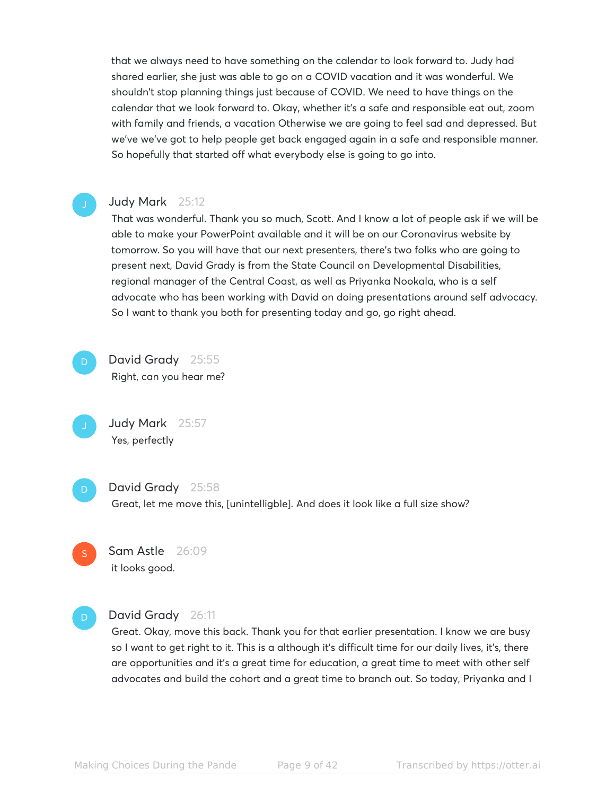that we always need to have something on the calendar to look forward to. Judy had shared earlier, she just was able to go on a COVID vacation and it was wonderful. We shouldn't stop planning things just because of COVID. We need to have things on the calendar that we look forward to. Okay, whether it's a safe and responsible eat out, zoom with family and friends, a vacation Otherwise we are going to feel sad and depressed. But we've we've got to help people get back engaged again in a safe and responsible manner. So hopefully that started off what everybody else is going to go into.

#### Judy Mark 25:12

That was wonderful. Thank you so much, Scott. And I know a lot of people ask if we will be able to make your PowerPoint available and it will be on our Coronavirus website by tomorrow. So you will have that our next presenters, there's two folks who are going to present next, David Grady is from the State Council on Developmental Disabilities, regional manager of the Central Coast, as well as Priyanka Nookala, who is a self advocate who has been working with David on doing presentations around self advocacy. So I want to thank you both for presenting today and go, go right ahead.

D

David Grady 25:55 Right, can you hear me?

Judy Mark 25:57 Yes, perfectly

D

#### David Grady 25:58

Great, let me move this, [unintelligble]. And does it look like a full size show?

Sam Astle 26:09 it looks good. S

D

#### David Grady 26:11

Great. Okay, move this back. Thank you for that earlier presentation. I know we are busy so I want to get right to it. This is a although it's difficult time for our daily lives, it's, there are opportunities and it's a great time for education, a great time to meet with other self advocates and build the cohort and a great time to branch out. So today, Priyanka and I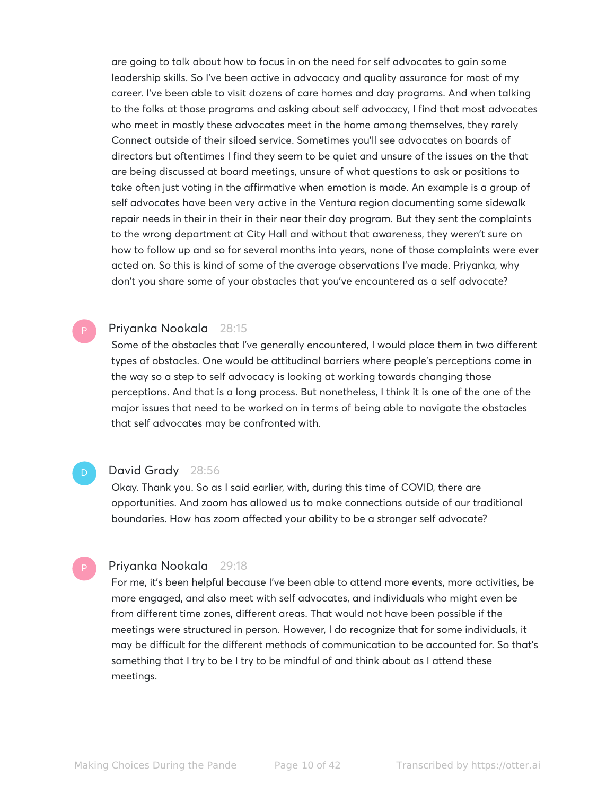are going to talk about how to focus in on the need for self advocates to gain some leadership skills. So I've been active in advocacy and quality assurance for most of my career. I've been able to visit dozens of care homes and day programs. And when talking to the folks at those programs and asking about self advocacy, I find that most advocates who meet in mostly these advocates meet in the home among themselves, they rarely Connect outside of their siloed service. Sometimes you'll see advocates on boards of directors but oftentimes I find they seem to be quiet and unsure of the issues on the that are being discussed at board meetings, unsure of what questions to ask or positions to take often just voting in the affirmative when emotion is made. An example is a group of self advocates have been very active in the Ventura region documenting some sidewalk repair needs in their in their in their near their day program. But they sent the complaints to the wrong department at City Hall and without that awareness, they weren't sure on how to follow up and so for several months into years, none of those complaints were ever acted on. So this is kind of some of the average observations I've made. Priyanka, why don't you share some of your obstacles that you've encountered as a self advocate?

#### Priyanka Nookala 28:15

Some of the obstacles that I've generally encountered, I would place them in two different types of obstacles. One would be attitudinal barriers where people's perceptions come in the way so a step to self advocacy is looking at working towards changing those perceptions. And that is a long process. But nonetheless, I think it is one of the one of the major issues that need to be worked on in terms of being able to navigate the obstacles that self advocates may be confronted with.

#### David Grady 28:56

Okay. Thank you. So as I said earlier, with, during this time of COVID, there are opportunities. And zoom has allowed us to make connections outside of our traditional boundaries. How has zoom affected your ability to be a stronger self advocate?

#### Priyanka Nookala 29:18

For me, it's been helpful because I've been able to attend more events, more activities, be more engaged, and also meet with self advocates, and individuals who might even be from different time zones, different areas. That would not have been possible if the meetings were structured in person. However, I do recognize that for some individuals, it may be difficult for the different methods of communication to be accounted for. So that's something that I try to be I try to be mindful of and think about as I attend these meetings.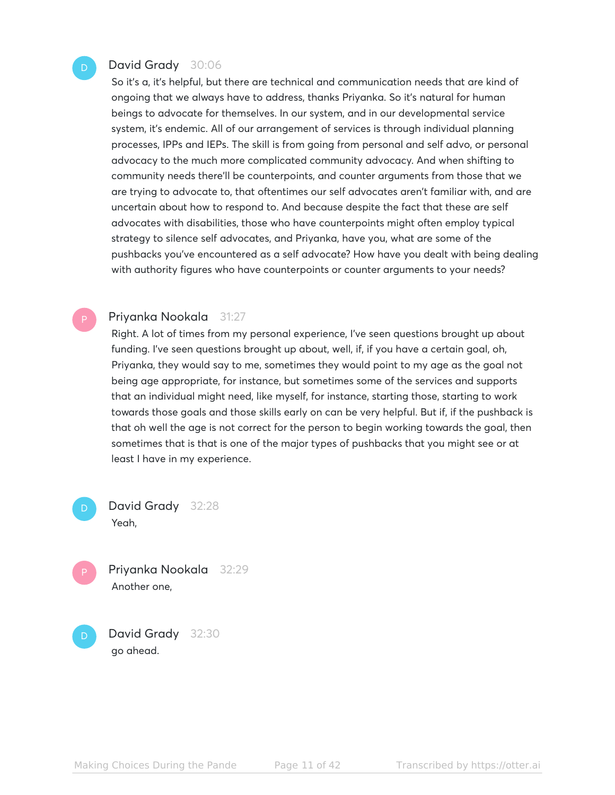#### David Grady 30:06

So it's a, it's helpful, but there are technical and communication needs that are kind of ongoing that we always have to address, thanks Priyanka. So it's natural for human beings to advocate for themselves. In our system, and in our developmental service system, it's endemic. All of our arrangement of services is through individual planning processes, IPPs and IEPs. The skill is from going from personal and self advo, or personal advocacy to the much more complicated community advocacy. And when shifting to community needs there'll be counterpoints, and counter arguments from those that we are trying to advocate to, that oftentimes our self advocates aren't familiar with, and are uncertain about how to respond to. And because despite the fact that these are self advocates with disabilities, those who have counterpoints might often employ typical strategy to silence self advocates, and Priyanka, have you, what are some of the pushbacks you've encountered as a self advocate? How have you dealt with being dealing with authority figures who have counterpoints or counter arguments to your needs?

#### Priyanka Nookala 31:27

Right. A lot of times from my personal experience, I've seen questions brought up about funding. I've seen questions brought up about, well, if, if you have a certain goal, oh, Priyanka, they would say to me, sometimes they would point to my age as the goal not being age appropriate, for instance, but sometimes some of the services and supports that an individual might need, like myself, for instance, starting those, starting to work towards those goals and those skills early on can be very helpful. But if, if the pushback is that oh well the age is not correct for the person to begin working towards the goal, then sometimes that is that is one of the major types of pushbacks that you might see or at least I have in my experience.

- David Grady 32:28 Yeah, D
- Priyanka Nookala 32:29 Another one,
- David Grady 32:30 go ahead. D

Making Choices During the Pande Page 11 of 42 Transcribed by https://otter.ai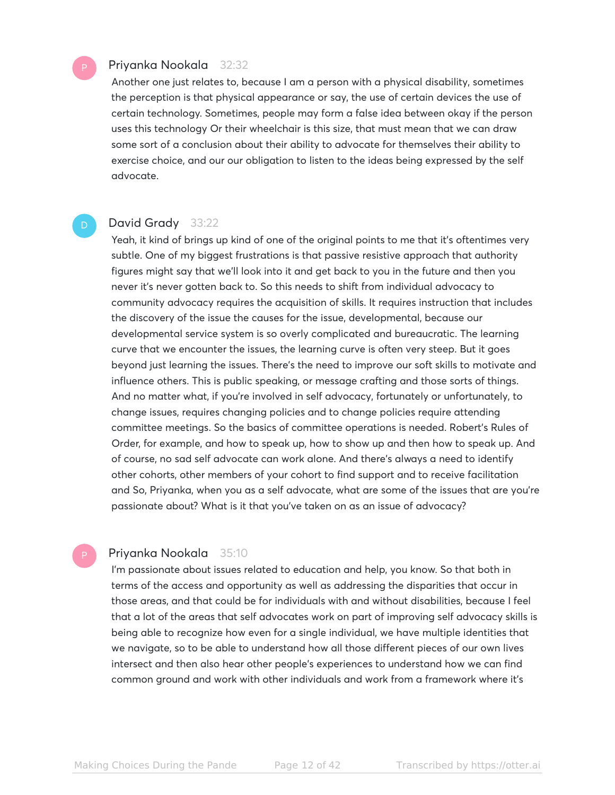#### Priyanka Nookala 32:32

Another one just relates to, because I am a person with a physical disability, sometimes the perception is that physical appearance or say, the use of certain devices the use of certain technology. Sometimes, people may form a false idea between okay if the person uses this technology Or their wheelchair is this size, that must mean that we can draw some sort of a conclusion about their ability to advocate for themselves their ability to exercise choice, and our our obligation to listen to the ideas being expressed by the self advocate.

#### David Grady 33:22

Yeah, it kind of brings up kind of one of the original points to me that it's oftentimes very subtle. One of my biggest frustrations is that passive resistive approach that authority figures might say that we'll look into it and get back to you in the future and then you never it's never gotten back to. So this needs to shift from individual advocacy to community advocacy requires the acquisition of skills. It requires instruction that includes the discovery of the issue the causes for the issue, developmental, because our developmental service system is so overly complicated and bureaucratic. The learning curve that we encounter the issues, the learning curve is often very steep. But it goes beyond just learning the issues. There's the need to improve our soft skills to motivate and influence others. This is public speaking, or message crafting and those sorts of things. And no matter what, if you're involved in self advocacy, fortunately or unfortunately, to change issues, requires changing policies and to change policies require attending committee meetings. So the basics of committee operations is needed. Robert's Rules of Order, for example, and how to speak up, how to show up and then how to speak up. And of course, no sad self advocate can work alone. And there's always a need to identify other cohorts, other members of your cohort to find support and to receive facilitation and So, Priyanka, when you as a self advocate, what are some of the issues that are you're passionate about? What is it that you've taken on as an issue of advocacy?

#### Priyanka Nookala 35:10

I'm passionate about issues related to education and help, you know. So that both in terms of the access and opportunity as well as addressing the disparities that occur in those areas, and that could be for individuals with and without disabilities, because I feel that a lot of the areas that self advocates work on part of improving self advocacy skills is being able to recognize how even for a single individual, we have multiple identities that we navigate, so to be able to understand how all those different pieces of our own lives intersect and then also hear other people's experiences to understand how we can find common ground and work with other individuals and work from a framework where it's

D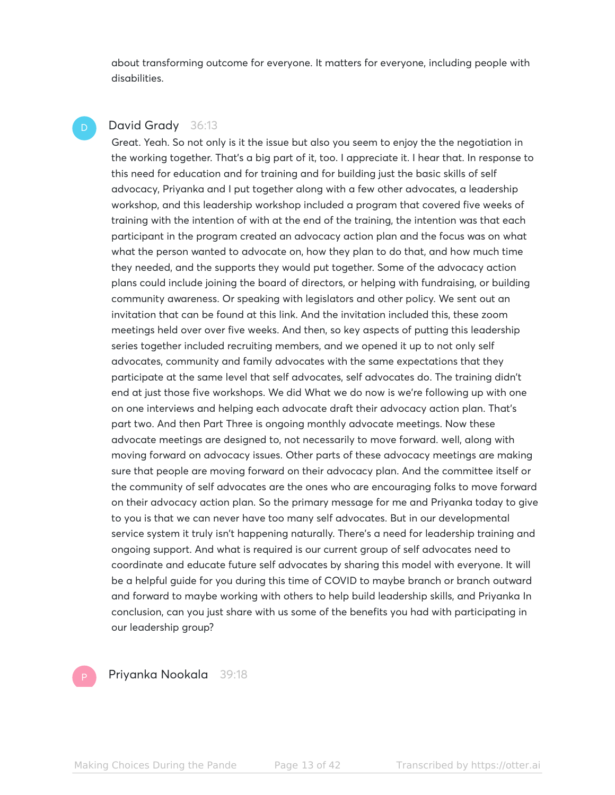about transforming outcome for everyone. It matters for everyone, including people with disabilities.

#### David Grady 36:13 D

Great. Yeah. So not only is it the issue but also you seem to enjoy the the negotiation in the working together. That's a big part of it, too. I appreciate it. I hear that. In response to this need for education and for training and for building just the basic skills of self advocacy, Priyanka and I put together along with a few other advocates, a leadership workshop, and this leadership workshop included a program that covered five weeks of training with the intention of with at the end of the training, the intention was that each participant in the program created an advocacy action plan and the focus was on what what the person wanted to advocate on, how they plan to do that, and how much time they needed, and the supports they would put together. Some of the advocacy action plans could include joining the board of directors, or helping with fundraising, or building community awareness. Or speaking with legislators and other policy. We sent out an invitation that can be found at this link. And the invitation included this, these zoom meetings held over over five weeks. And then, so key aspects of putting this leadership series together included recruiting members, and we opened it up to not only self advocates, community and family advocates with the same expectations that they participate at the same level that self advocates, self advocates do. The training didn't end at just those five workshops. We did What we do now is we're following up with one on one interviews and helping each advocate draft their advocacy action plan. That's part two. And then Part Three is ongoing monthly advocate meetings. Now these advocate meetings are designed to, not necessarily to move forward. well, along with moving forward on advocacy issues. Other parts of these advocacy meetings are making sure that people are moving forward on their advocacy plan. And the committee itself or the community of self advocates are the ones who are encouraging folks to move forward on their advocacy action plan. So the primary message for me and Priyanka today to give to you is that we can never have too many self advocates. But in our developmental service system it truly isn't happening naturally. There's a need for leadership training and ongoing support. And what is required is our current group of self advocates need to coordinate and educate future self advocates by sharing this model with everyone. It will be a helpful guide for you during this time of COVID to maybe branch or branch outward and forward to maybe working with others to help build leadership skills, and Priyanka In conclusion, can you just share with us some of the benefits you had with participating in our leadership group?

Priyanka Nookala 39:18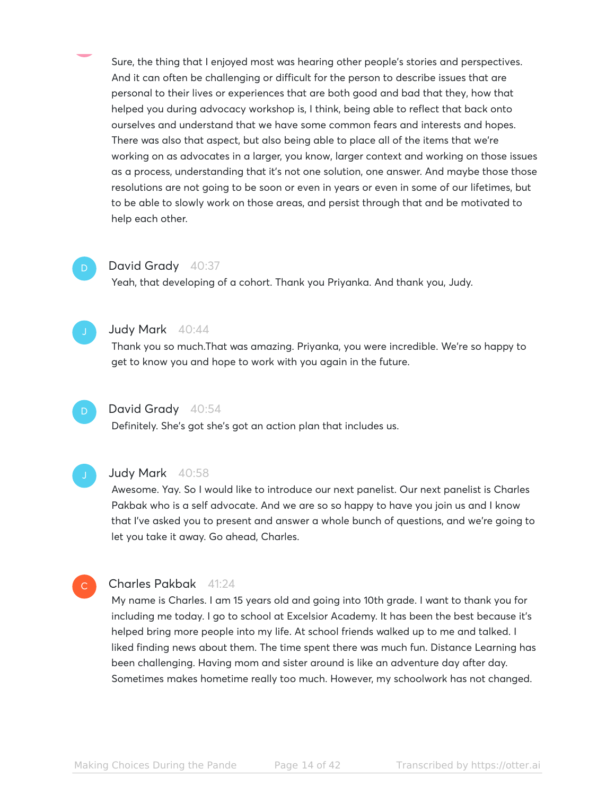Sure, the thing that I enjoyed most was hearing other people's stories and perspectives. And it can often be challenging or difficult for the person to describe issues that are personal to their lives or experiences that are both good and bad that they, how that helped you during advocacy workshop is, I think, being able to reflect that back onto ourselves and understand that we have some common fears and interests and hopes. There was also that aspect, but also being able to place all of the items that we're working on as advocates in a larger, you know, larger context and working on those issues as a process, understanding that it's not one solution, one answer. And maybe those those resolutions are not going to be soon or even in years or even in some of our lifetimes, but to be able to slowly work on those areas, and persist through that and be motivated to help each other.

### D

David Grady 40:37

Yeah, that developing of a cohort. Thank you Priyanka. And thank you, Judy.



#### Judy Mark 40:44

Thank you so much.That was amazing. Priyanka, you were incredible. We're so happy to get to know you and hope to work with you again in the future.



#### David Grady 40:54

Definitely. She's got she's got an action plan that includes us.

 $\mathbb{C}^{\times}$ 

#### Judy Mark 40:58

Awesome. Yay. So I would like to introduce our next panelist. Our next panelist is Charles Pakbak who is a self advocate. And we are so so happy to have you join us and I know that I've asked you to present and answer a whole bunch of questions, and we're going to let you take it away. Go ahead, Charles.

#### Charles Pakbak 41:24

My name is Charles. I am 15 years old and going into 10th grade. I want to thank you for including me today. I go to school at Excelsior Academy. It has been the best because it's helped bring more people into my life. At school friends walked up to me and talked. I liked finding news about them. The time spent there was much fun. Distance Learning has been challenging. Having mom and sister around is like an adventure day after day. Sometimes makes hometime really too much. However, my schoolwork has not changed.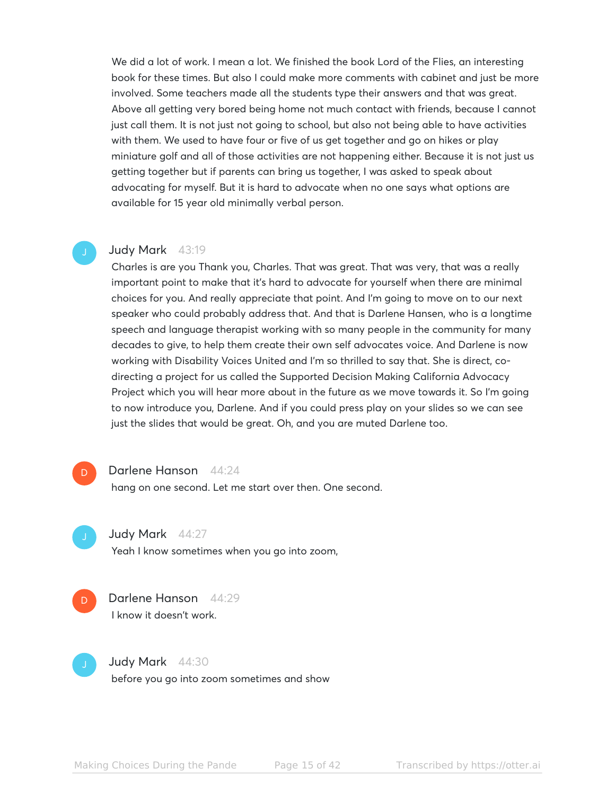We did a lot of work. I mean a lot. We finished the book Lord of the Flies, an interesting book for these times. But also I could make more comments with cabinet and just be more involved. Some teachers made all the students type their answers and that was great. Above all getting very bored being home not much contact with friends, because I cannot just call them. It is not just not going to school, but also not being able to have activities with them. We used to have four or five of us get together and go on hikes or play miniature golf and all of those activities are not happening either. Because it is not just us getting together but if parents can bring us together, I was asked to speak about advocating for myself. But it is hard to advocate when no one says what options are available for 15 year old minimally verbal person.

#### Judy Mark 43:19

Charles is are you Thank you, Charles. That was great. That was very, that was a really important point to make that it's hard to advocate for yourself when there are minimal choices for you. And really appreciate that point. And I'm going to move on to our next speaker who could probably address that. And that is Darlene Hansen, who is a longtime speech and language therapist working with so many people in the community for many decades to give, to help them create their own self advocates voice. And Darlene is now working with Disability Voices United and I'm so thrilled to say that. She is direct, codirecting a project for us called the Supported Decision Making California Advocacy Project which you will hear more about in the future as we move towards it. So I'm going to now introduce you, Darlene. And if you could press play on your slides so we can see just the slides that would be great. Oh, and you are muted Darlene too.

#### Darlene Hanson 44:24

hang on one second. Let me start over then. One second.

Judy Mark 44:27

Yeah I know sometimes when you go into zoom,



Darlene Hanson 44:29 I know it doesn't work.



D.

Judy Mark 44:30

before you go into zoom sometimes and show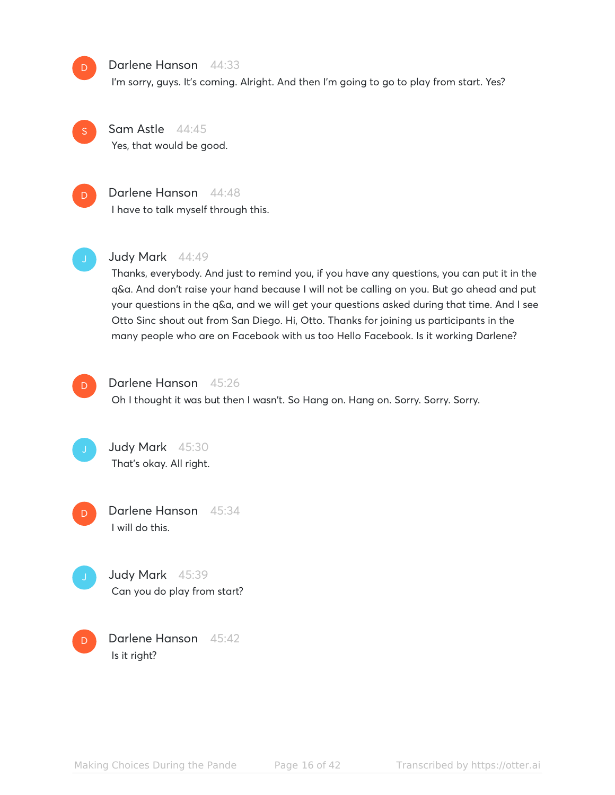

#### Darlene Hanson 44:33

I'm sorry, guys. It's coming. Alright. And then I'm going to go to play from start. Yes?

S

Sam Astle 44:45 Yes, that would be good.



## Darlene Hanson 44:48

I have to talk myself through this.



#### Judy Mark 44:49

Thanks, everybody. And just to remind you, if you have any questions, you can put it in the q&a. And don't raise your hand because I will not be calling on you. But go ahead and put your questions in the q&a, and we will get your questions asked during that time. And I see Otto Sinc shout out from San Diego. Hi, Otto. Thanks for joining us participants in the many people who are on Facebook with us too Hello Facebook. Is it working Darlene?



#### Darlene Hanson 45:26

Oh I thought it was but then I wasn't. So Hang on. Hang on. Sorry. Sorry. Sorry.



Darlene Hanson 45:34 I will do this. D



Darlene Hanson 45:42 Is it right? D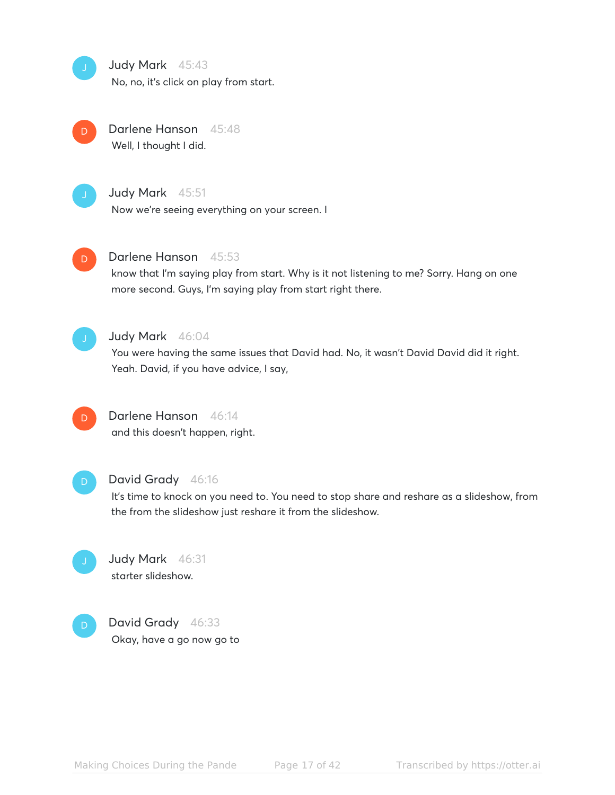Judy Mark 45:43 No, no, it's click on play from start.



Darlene Hanson 45:48 Well, I thought I did.



Judy Mark 45:51

Now we're seeing everything on your screen. I



#### Darlene Hanson 45:53

know that I'm saying play from start. Why is it not listening to me? Sorry. Hang on one more second. Guys, I'm saying play from start right there.



#### Judy Mark 46:04

You were having the same issues that David had. No, it wasn't David David did it right. Yeah. David, if you have advice, I say,



### Darlene Hanson 46:14

and this doesn't happen, right.



### David Grady 46:16

It's time to knock on you need to. You need to stop share and reshare as a slideshow, from the from the slideshow just reshare it from the slideshow.



#### Judy Mark 46:31 starter slideshow.



David Grady 46:33 Okay, have a go now go to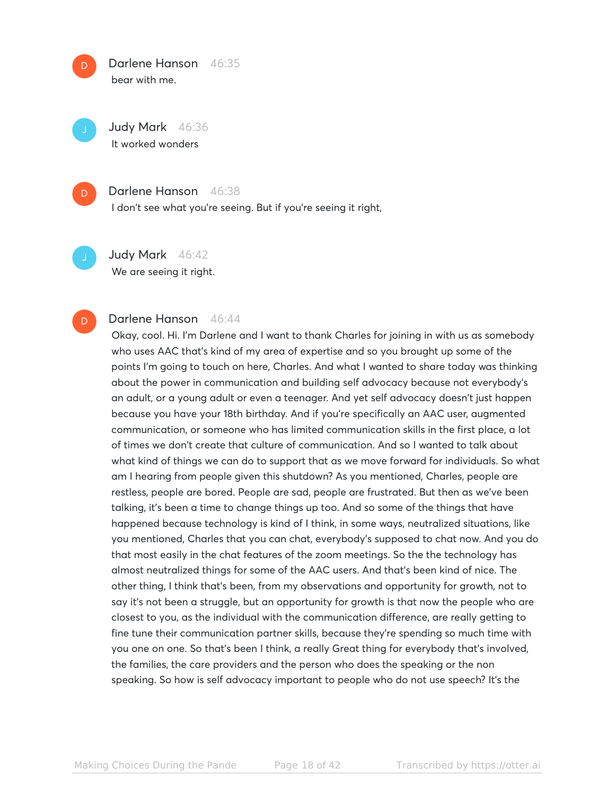Darlene Hanson 46:35 bear with me.

Judy Mark 46:36 It worked wonders



D

#### Darlene Hanson 46:38

I don't see what you're seeing. But if you're seeing it right,

D

Judy Mark 46:42 We are seeing it right.

#### Darlene Hanson 46:44

Okay, cool. Hi. I'm Darlene and I want to thank Charles for joining in with us as somebody who uses AAC that's kind of my area of expertise and so you brought up some of the points I'm going to touch on here, Charles. And what I wanted to share today was thinking about the power in communication and building self advocacy because not everybody's an adult, or a young adult or even a teenager. And yet self advocacy doesn't just happen because you have your 18th birthday. And if you're specifically an AAC user, augmented communication, or someone who has limited communication skills in the first place, a lot of times we don't create that culture of communication. And so I wanted to talk about what kind of things we can do to support that as we move forward for individuals. So what am I hearing from people given this shutdown? As you mentioned, Charles, people are restless, people are bored. People are sad, people are frustrated. But then as we've been talking, it's been a time to change things up too. And so some of the things that have happened because technology is kind of I think, in some ways, neutralized situations, like you mentioned, Charles that you can chat, everybody's supposed to chat now. And you do that most easily in the chat features of the zoom meetings. So the the technology has almost neutralized things for some of the AAC users. And that's been kind of nice. The other thing, I think that's been, from my observations and opportunity for growth, not to say it's not been a struggle, but an opportunity for growth is that now the people who are closest to you, as the individual with the communication difference, are really getting to fine tune their communication partner skills, because they're spending so much time with you one on one. So that's been I think, a really Great thing for everybody that's involved, the families, the care providers and the person who does the speaking or the non speaking. So how is self advocacy important to people who do not use speech? It's the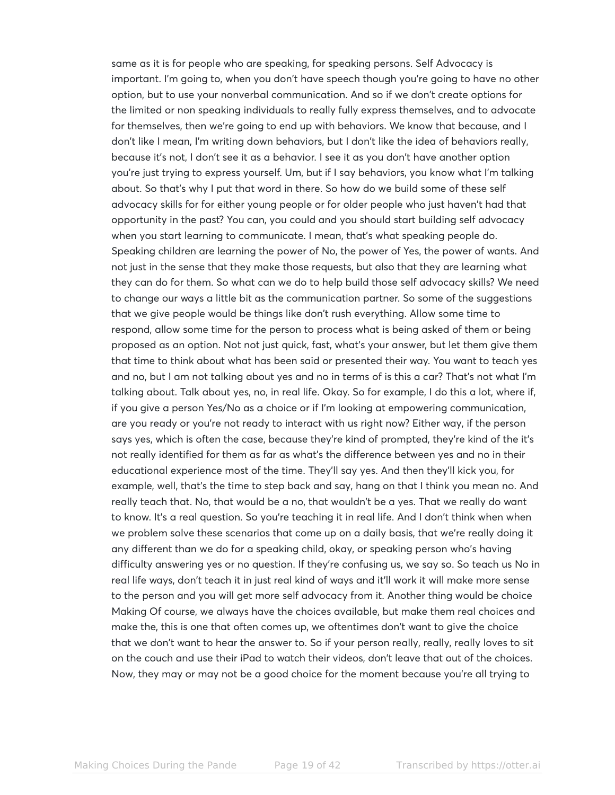same as it is for people who are speaking, for speaking persons. Self Advocacy is important. I'm going to, when you don't have speech though you're going to have no other option, but to use your nonverbal communication. And so if we don't create options for the limited or non speaking individuals to really fully express themselves, and to advocate for themselves, then we're going to end up with behaviors. We know that because, and I don't like I mean, I'm writing down behaviors, but I don't like the idea of behaviors really, because it's not, I don't see it as a behavior. I see it as you don't have another option you're just trying to express yourself. Um, but if I say behaviors, you know what I'm talking about. So that's why I put that word in there. So how do we build some of these self advocacy skills for for either young people or for older people who just haven't had that opportunity in the past? You can, you could and you should start building self advocacy when you start learning to communicate. I mean, that's what speaking people do. Speaking children are learning the power of No, the power of Yes, the power of wants. And not just in the sense that they make those requests, but also that they are learning what they can do for them. So what can we do to help build those self advocacy skills? We need to change our ways a little bit as the communication partner. So some of the suggestions that we give people would be things like don't rush everything. Allow some time to respond, allow some time for the person to process what is being asked of them or being proposed as an option. Not not just quick, fast, what's your answer, but let them give them that time to think about what has been said or presented their way. You want to teach yes and no, but I am not talking about yes and no in terms of is this a car? That's not what I'm talking about. Talk about yes, no, in real life. Okay. So for example, I do this a lot, where if, if you give a person Yes/No as a choice or if I'm looking at empowering communication, are you ready or you're not ready to interact with us right now? Either way, if the person says yes, which is often the case, because they're kind of prompted, they're kind of the it's not really identified for them as far as what's the difference between yes and no in their educational experience most of the time. They'll say yes. And then they'll kick you, for example, well, that's the time to step back and say, hang on that I think you mean no. And really teach that. No, that would be a no, that wouldn't be a yes. That we really do want to know. It's a real question. So you're teaching it in real life. And I don't think when when we problem solve these scenarios that come up on a daily basis, that we're really doing it any different than we do for a speaking child, okay, or speaking person who's having difficulty answering yes or no question. If they're confusing us, we say so. So teach us No in real life ways, don't teach it in just real kind of ways and it'll work it will make more sense to the person and you will get more self advocacy from it. Another thing would be choice Making Of course, we always have the choices available, but make them real choices and make the, this is one that often comes up, we oftentimes don't want to give the choice that we don't want to hear the answer to. So if your person really, really, really loves to sit on the couch and use their iPad to watch their videos, don't leave that out of the choices. Now, they may or may not be a good choice for the moment because you're all trying to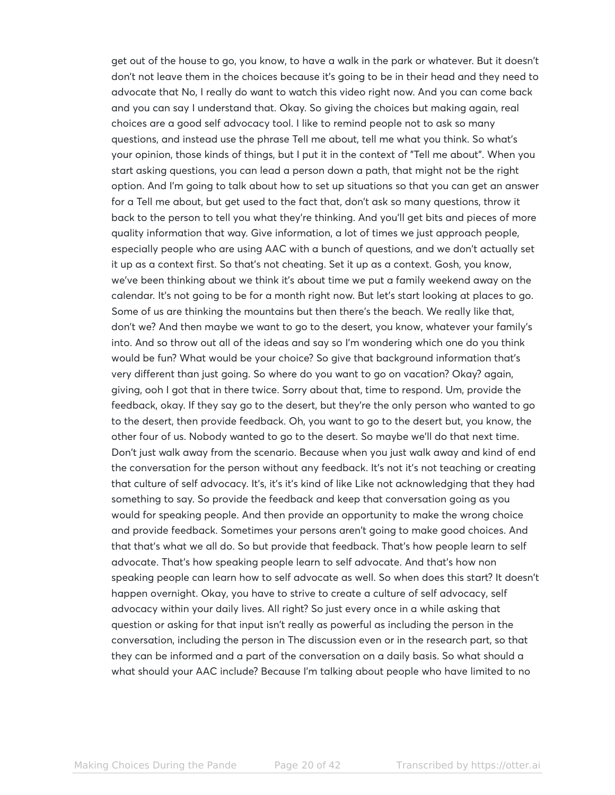get out of the house to go, you know, to have a walk in the park or whatever. But it doesn't don't not leave them in the choices because it's going to be in their head and they need to advocate that No, I really do want to watch this video right now. And you can come back and you can say I understand that. Okay. So giving the choices but making again, real choices are a good self advocacy tool. I like to remind people not to ask so many questions, and instead use the phrase Tell me about, tell me what you think. So what's your opinion, those kinds of things, but I put it in the context of "Tell me about". When you start asking questions, you can lead a person down a path, that might not be the right option. And I'm going to talk about how to set up situations so that you can get an answer for a Tell me about, but get used to the fact that, don't ask so many questions, throw it back to the person to tell you what they're thinking. And you'll get bits and pieces of more quality information that way. Give information, a lot of times we just approach people, especially people who are using AAC with a bunch of questions, and we don't actually set it up as a context first. So that's not cheating. Set it up as a context. Gosh, you know, we've been thinking about we think it's about time we put a family weekend away on the calendar. It's not going to be for a month right now. But let's start looking at places to go. Some of us are thinking the mountains but then there's the beach. We really like that, don't we? And then maybe we want to go to the desert, you know, whatever your family's into. And so throw out all of the ideas and say so I'm wondering which one do you think would be fun? What would be your choice? So give that background information that's very different than just going. So where do you want to go on vacation? Okay? again, giving, ooh I got that in there twice. Sorry about that, time to respond. Um, provide the feedback, okay. If they say go to the desert, but they're the only person who wanted to go to the desert, then provide feedback. Oh, you want to go to the desert but, you know, the other four of us. Nobody wanted to go to the desert. So maybe we'll do that next time. Don't just walk away from the scenario. Because when you just walk away and kind of end the conversation for the person without any feedback. It's not it's not teaching or creating that culture of self advocacy. It's, it's it's kind of like Like not acknowledging that they had something to say. So provide the feedback and keep that conversation going as you would for speaking people. And then provide an opportunity to make the wrong choice and provide feedback. Sometimes your persons aren't going to make good choices. And that that's what we all do. So but provide that feedback. That's how people learn to self advocate. That's how speaking people learn to self advocate. And that's how non speaking people can learn how to self advocate as well. So when does this start? It doesn't happen overnight. Okay, you have to strive to create a culture of self advocacy, self advocacy within your daily lives. All right? So just every once in a while asking that question or asking for that input isn't really as powerful as including the person in the conversation, including the person in The discussion even or in the research part, so that they can be informed and a part of the conversation on a daily basis. So what should a what should your AAC include? Because I'm talking about people who have limited to no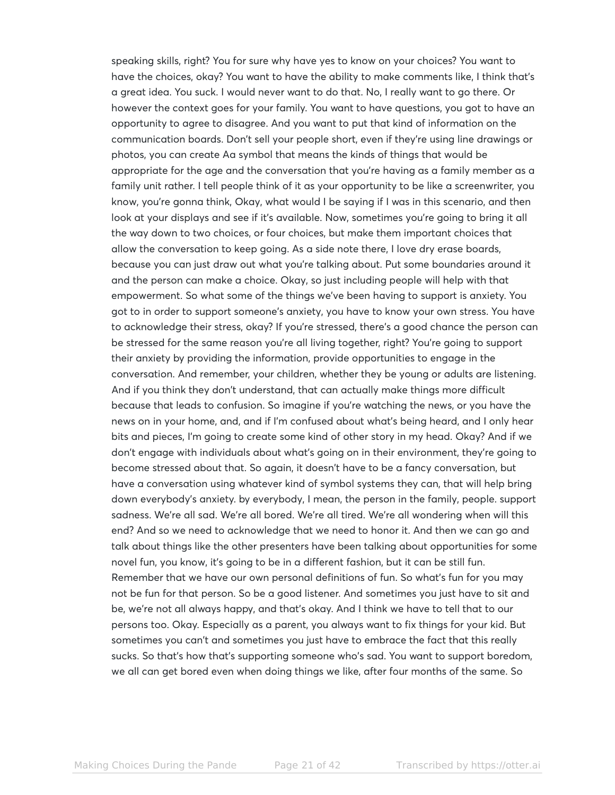speaking skills, right? You for sure why have yes to know on your choices? You want to have the choices, okay? You want to have the ability to make comments like, I think that's a great idea. You suck. I would never want to do that. No, I really want to go there. Or however the context goes for your family. You want to have questions, you got to have an opportunity to agree to disagree. And you want to put that kind of information on the communication boards. Don't sell your people short, even if they're using line drawings or photos, you can create Aa symbol that means the kinds of things that would be appropriate for the age and the conversation that you're having as a family member as a family unit rather. I tell people think of it as your opportunity to be like a screenwriter, you know, you're gonna think, Okay, what would I be saying if I was in this scenario, and then look at your displays and see if it's available. Now, sometimes you're going to bring it all the way down to two choices, or four choices, but make them important choices that allow the conversation to keep going. As a side note there, I love dry erase boards, because you can just draw out what you're talking about. Put some boundaries around it and the person can make a choice. Okay, so just including people will help with that empowerment. So what some of the things we've been having to support is anxiety. You got to in order to support someone's anxiety, you have to know your own stress. You have to acknowledge their stress, okay? If you're stressed, there's a good chance the person can be stressed for the same reason you're all living together, right? You're going to support their anxiety by providing the information, provide opportunities to engage in the conversation. And remember, your children, whether they be young or adults are listening. And if you think they don't understand, that can actually make things more difficult because that leads to confusion. So imagine if you're watching the news, or you have the news on in your home, and, and if I'm confused about what's being heard, and I only hear bits and pieces, I'm going to create some kind of other story in my head. Okay? And if we don't engage with individuals about what's going on in their environment, they're going to become stressed about that. So again, it doesn't have to be a fancy conversation, but have a conversation using whatever kind of symbol systems they can, that will help bring down everybody's anxiety. by everybody, I mean, the person in the family, people. support sadness. We're all sad. We're all bored. We're all tired. We're all wondering when will this end? And so we need to acknowledge that we need to honor it. And then we can go and talk about things like the other presenters have been talking about opportunities for some novel fun, you know, it's going to be in a different fashion, but it can be still fun. Remember that we have our own personal definitions of fun. So what's fun for you may not be fun for that person. So be a good listener. And sometimes you just have to sit and be, we're not all always happy, and that's okay. And I think we have to tell that to our persons too. Okay. Especially as a parent, you always want to fix things for your kid. But sometimes you can't and sometimes you just have to embrace the fact that this really sucks. So that's how that's supporting someone who's sad. You want to support boredom, we all can get bored even when doing things we like, after four months of the same. So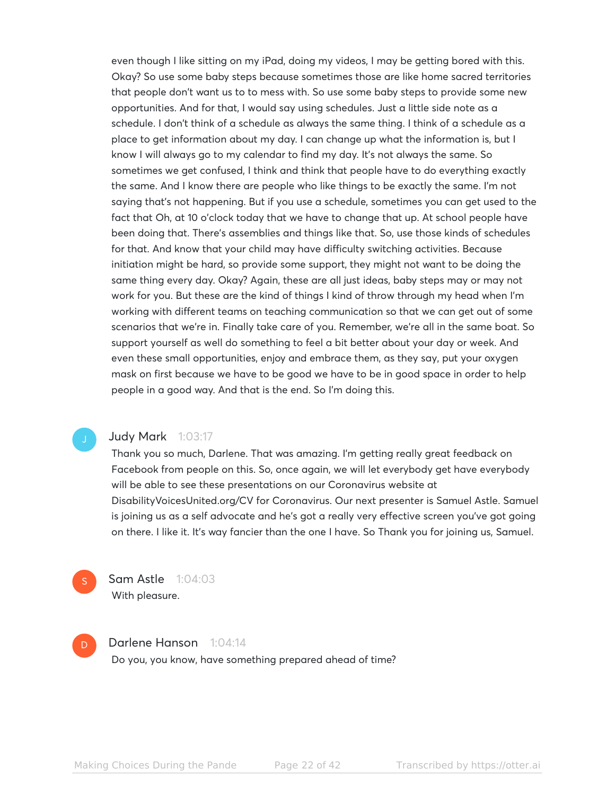even though I like sitting on my iPad, doing my videos, I may be getting bored with this. Okay? So use some baby steps because sometimes those are like home sacred territories that people don't want us to to mess with. So use some baby steps to provide some new opportunities. And for that, I would say using schedules. Just a little side note as a schedule. I don't think of a schedule as always the same thing. I think of a schedule as a place to get information about my day. I can change up what the information is, but I know I will always go to my calendar to find my day. It's not always the same. So sometimes we get confused, I think and think that people have to do everything exactly the same. And I know there are people who like things to be exactly the same. I'm not saying that's not happening. But if you use a schedule, sometimes you can get used to the fact that Oh, at 10 o'clock today that we have to change that up. At school people have been doing that. There's assemblies and things like that. So, use those kinds of schedules for that. And know that your child may have difficulty switching activities. Because initiation might be hard, so provide some support, they might not want to be doing the same thing every day. Okay? Again, these are all just ideas, baby steps may or may not work for you. But these are the kind of things I kind of throw through my head when I'm working with different teams on teaching communication so that we can get out of some scenarios that we're in. Finally take care of you. Remember, we're all in the same boat. So support yourself as well do something to feel a bit better about your day or week. And even these small opportunities, enjoy and embrace them, as they say, put your oxygen mask on first because we have to be good we have to be in good space in order to help people in a good way. And that is the end. So I'm doing this.

### Judy Mark 1:03:17

Thank you so much, Darlene. That was amazing. I'm getting really great feedback on Facebook from people on this. So, once again, we will let everybody get have everybody will be able to see these presentations on our Coronavirus website at DisabilityVoicesUnited.org/CV for Coronavirus. Our next presenter is Samuel Astle. Samuel is joining us as a self advocate and he's got a really very effective screen you've got going on there. I like it. It's way fancier than the one I have. So Thank you for joining us, Samuel.

Sam Astle 1:04:03 With pleasure.

S

D

#### Darlene Hanson 1:04:14

Do you, you know, have something prepared ahead of time?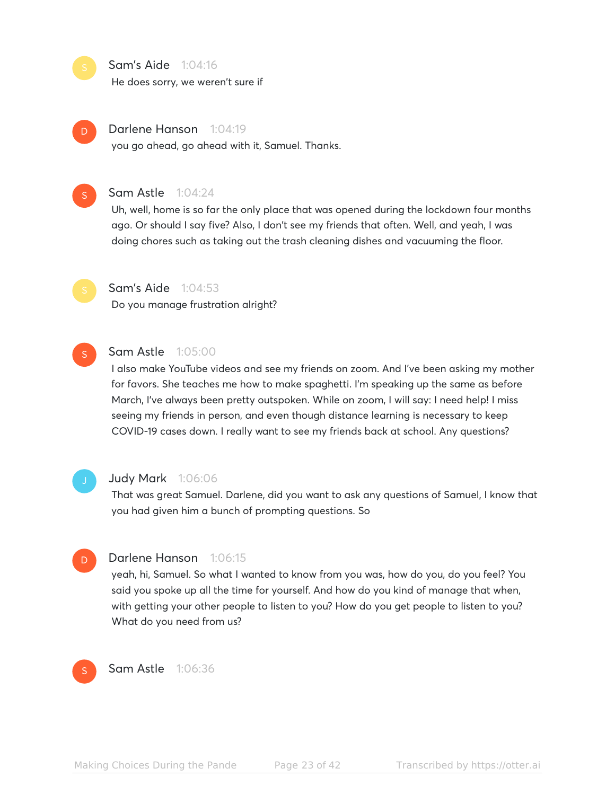Sam's Aide 1:04:16

He does sorry, we weren't sure if



#### Darlene Hanson 1:04:19

you go ahead, go ahead with it, Samuel. Thanks.



#### Sam Astle 1:04:24

Uh, well, home is so far the only place that was opened during the lockdown four months ago. Or should I say five? Also, I don't see my friends that often. Well, and yeah, I was doing chores such as taking out the trash cleaning dishes and vacuuming the floor.



#### **Sam's Aide** 1:04:53

Do you manage frustration alright?



#### Sam Astle 1:05:00

I also make YouTube videos and see my friends on zoom. And I've been asking my mother for favors. She teaches me how to make spaghetti. I'm speaking up the same as before March, I've always been pretty outspoken. While on zoom, I will say: I need help! I miss seeing my friends in person, and even though distance learning is necessary to keep COVID-19 cases down. I really want to see my friends back at school. Any questions?



#### Judy Mark 1:06:06

That was great Samuel. Darlene, did you want to ask any questions of Samuel, I know that you had given him a bunch of prompting questions. So



#### Darlene Hanson 1:06:15

yeah, hi, Samuel. So what I wanted to know from you was, how do you, do you feel? You said you spoke up all the time for yourself. And how do you kind of manage that when, with getting your other people to listen to you? How do you get people to listen to you? What do you need from us?



Sam Astle 1:06:36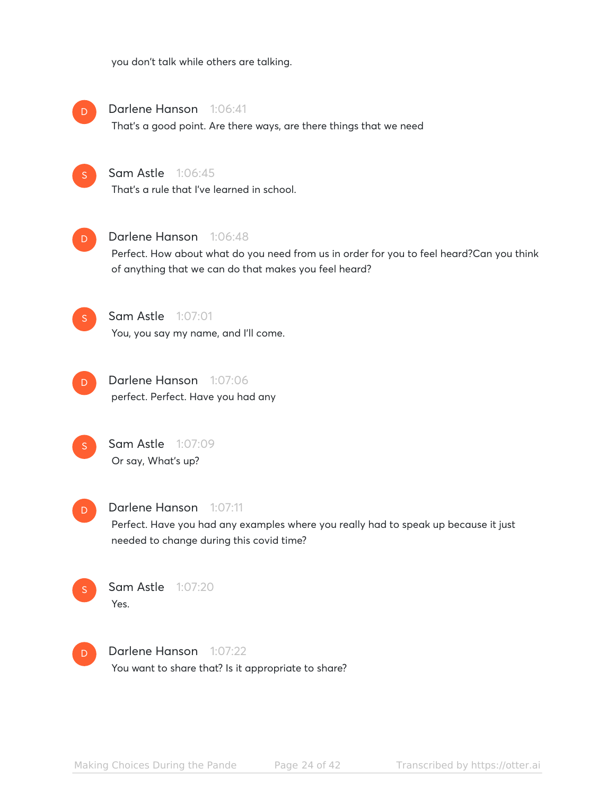you don't talk while others are talking.



Darlene Hanson 1:06:41

That's a good point. Are there ways, are there things that we need

### **Sam Astle** 1:06:45

That's a rule that I've learned in school.



#### Darlene Hanson 1:06:48

Perfect. How about what do you need from us in order for you to feel heard?Can you think of anything that we can do that makes you feel heard?



D

# Sam Astle 1:07:01

You, you say my name, and I'll come.





#### Darlene Hanson 1:07:11

Perfect. Have you had any examples where you really had to speak up because it just needed to change during this covid time?



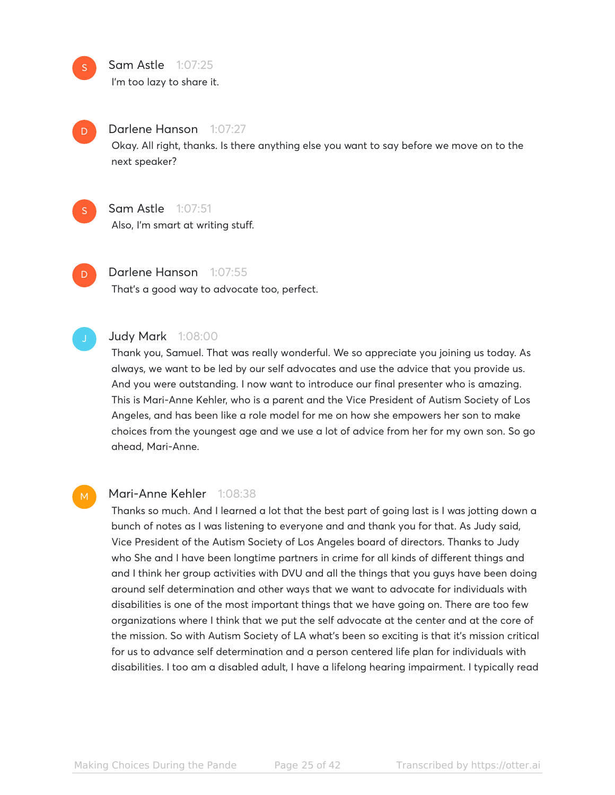Sam Astle 1:07:25

I'm too lazy to share it.



S

#### Darlene Hanson 1:07:27

Okay. All right, thanks. Is there anything else you want to say before we move on to the next speaker?

- Sam Astle 1:07:51 Also, I'm smart at writing stuff. S
- Darlene Hanson 1:07:55 That's a good way to advocate too, perfect. D

#### Judy Mark 1:08:00

Thank you, Samuel. That was really wonderful. We so appreciate you joining us today. As always, we want to be led by our self advocates and use the advice that you provide us. And you were outstanding. I now want to introduce our final presenter who is amazing. This is Mari-Anne Kehler, who is a parent and the Vice President of Autism Society of Los Angeles, and has been like a role model for me on how she empowers her son to make choices from the youngest age and we use a lot of advice from her for my own son. So go ahead, Mari-Anne.

M

#### Mari-Anne Kehler 1:08:38

Thanks so much. And I learned a lot that the best part of going last is I was jotting down a bunch of notes as I was listening to everyone and and thank you for that. As Judy said, Vice President of the Autism Society of Los Angeles board of directors. Thanks to Judy who She and I have been longtime partners in crime for all kinds of different things and and I think her group activities with DVU and all the things that you guys have been doing around self determination and other ways that we want to advocate for individuals with disabilities is one of the most important things that we have going on. There are too few organizations where I think that we put the self advocate at the center and at the core of the mission. So with Autism Society of LA what's been so exciting is that it's mission critical for us to advance self determination and a person centered life plan for individuals with disabilities. I too am a disabled adult, I have a lifelong hearing impairment. I typically read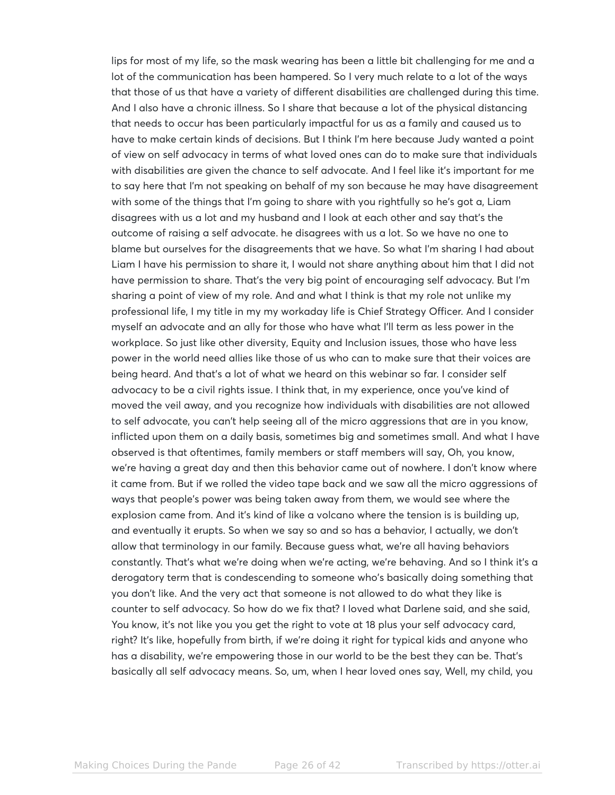lips for most of my life, so the mask wearing has been a little bit challenging for me and a lot of the communication has been hampered. So I very much relate to a lot of the ways that those of us that have a variety of different disabilities are challenged during this time. And I also have a chronic illness. So I share that because a lot of the physical distancing that needs to occur has been particularly impactful for us as a family and caused us to have to make certain kinds of decisions. But I think I'm here because Judy wanted a point of view on self advocacy in terms of what loved ones can do to make sure that individuals with disabilities are given the chance to self advocate. And I feel like it's important for me to say here that I'm not speaking on behalf of my son because he may have disagreement with some of the things that I'm going to share with you rightfully so he's got a, Liam disagrees with us a lot and my husband and I look at each other and say that's the outcome of raising a self advocate. he disagrees with us a lot. So we have no one to blame but ourselves for the disagreements that we have. So what I'm sharing I had about Liam I have his permission to share it, I would not share anything about him that I did not have permission to share. That's the very big point of encouraging self advocacy. But I'm sharing a point of view of my role. And and what I think is that my role not unlike my professional life, I my title in my my workaday life is Chief Strategy Officer. And I consider myself an advocate and an ally for those who have what I'll term as less power in the workplace. So just like other diversity, Equity and Inclusion issues, those who have less power in the world need allies like those of us who can to make sure that their voices are being heard. And that's a lot of what we heard on this webinar so far. I consider self advocacy to be a civil rights issue. I think that, in my experience, once you've kind of moved the veil away, and you recognize how individuals with disabilities are not allowed to self advocate, you can't help seeing all of the micro aggressions that are in you know, inflicted upon them on a daily basis, sometimes big and sometimes small. And what I have observed is that oftentimes, family members or staff members will say, Oh, you know, we're having a great day and then this behavior came out of nowhere. I don't know where it came from. But if we rolled the video tape back and we saw all the micro aggressions of ways that people's power was being taken away from them, we would see where the explosion came from. And it's kind of like a volcano where the tension is is building up, and eventually it erupts. So when we say so and so has a behavior, I actually, we don't allow that terminology in our family. Because guess what, we're all having behaviors constantly. That's what we're doing when we're acting, we're behaving. And so I think it's a derogatory term that is condescending to someone who's basically doing something that you don't like. And the very act that someone is not allowed to do what they like is counter to self advocacy. So how do we fix that? I loved what Darlene said, and she said, You know, it's not like you you get the right to vote at 18 plus your self advocacy card, right? It's like, hopefully from birth, if we're doing it right for typical kids and anyone who has a disability, we're empowering those in our world to be the best they can be. That's basically all self advocacy means. So, um, when I hear loved ones say, Well, my child, you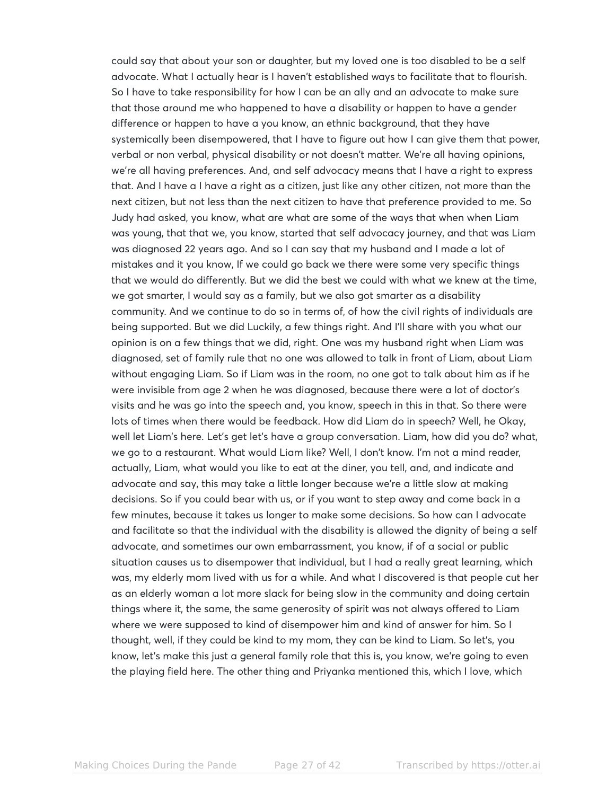could say that about your son or daughter, but my loved one is too disabled to be a self advocate. What I actually hear is I haven't established ways to facilitate that to flourish. So I have to take responsibility for how I can be an ally and an advocate to make sure that those around me who happened to have a disability or happen to have a gender difference or happen to have a you know, an ethnic background, that they have systemically been disempowered, that I have to figure out how I can give them that power, verbal or non verbal, physical disability or not doesn't matter. We're all having opinions, we're all having preferences. And, and self advocacy means that I have a right to express that. And I have a I have a right as a citizen, just like any other citizen, not more than the next citizen, but not less than the next citizen to have that preference provided to me. So Judy had asked, you know, what are what are some of the ways that when when Liam was young, that that we, you know, started that self advocacy journey, and that was Liam was diagnosed 22 years ago. And so I can say that my husband and I made a lot of mistakes and it you know, If we could go back we there were some very specific things that we would do differently. But we did the best we could with what we knew at the time, we got smarter, I would say as a family, but we also got smarter as a disability community. And we continue to do so in terms of, of how the civil rights of individuals are being supported. But we did Luckily, a few things right. And I'll share with you what our opinion is on a few things that we did, right. One was my husband right when Liam was diagnosed, set of family rule that no one was allowed to talk in front of Liam, about Liam without engaging Liam. So if Liam was in the room, no one got to talk about him as if he were invisible from age 2 when he was diagnosed, because there were a lot of doctor's visits and he was go into the speech and, you know, speech in this in that. So there were lots of times when there would be feedback. How did Liam do in speech? Well, he Okay, well let Liam's here. Let's get let's have a group conversation. Liam, how did you do? what, we go to a restaurant. What would Liam like? Well, I don't know. I'm not a mind reader, actually, Liam, what would you like to eat at the diner, you tell, and, and indicate and advocate and say, this may take a little longer because we're a little slow at making decisions. So if you could bear with us, or if you want to step away and come back in a few minutes, because it takes us longer to make some decisions. So how can I advocate and facilitate so that the individual with the disability is allowed the dignity of being a self advocate, and sometimes our own embarrassment, you know, if of a social or public situation causes us to disempower that individual, but I had a really great learning, which was, my elderly mom lived with us for a while. And what I discovered is that people cut her as an elderly woman a lot more slack for being slow in the community and doing certain things where it, the same, the same generosity of spirit was not always offered to Liam where we were supposed to kind of disempower him and kind of answer for him. So I thought, well, if they could be kind to my mom, they can be kind to Liam. So let's, you know, let's make this just a general family role that this is, you know, we're going to even the playing field here. The other thing and Priyanka mentioned this, which I love, which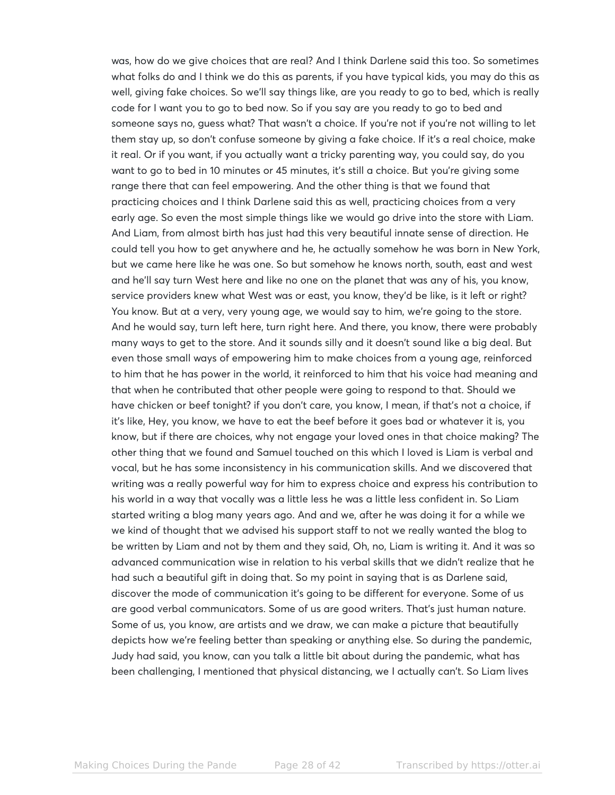was, how do we give choices that are real? And I think Darlene said this too. So sometimes what folks do and I think we do this as parents, if you have typical kids, you may do this as well, giving fake choices. So we'll say things like, are you ready to go to bed, which is really code for I want you to go to bed now. So if you say are you ready to go to bed and someone says no, guess what? That wasn't a choice. If you're not if you're not willing to let them stay up, so don't confuse someone by giving a fake choice. If it's a real choice, make it real. Or if you want, if you actually want a tricky parenting way, you could say, do you want to go to bed in 10 minutes or 45 minutes, it's still a choice. But you're giving some range there that can feel empowering. And the other thing is that we found that practicing choices and I think Darlene said this as well, practicing choices from a very early age. So even the most simple things like we would go drive into the store with Liam. And Liam, from almost birth has just had this very beautiful innate sense of direction. He could tell you how to get anywhere and he, he actually somehow he was born in New York, but we came here like he was one. So but somehow he knows north, south, east and west and he'll say turn West here and like no one on the planet that was any of his, you know, service providers knew what West was or east, you know, they'd be like, is it left or right? You know. But at a very, very young age, we would say to him, we're going to the store. And he would say, turn left here, turn right here. And there, you know, there were probably many ways to get to the store. And it sounds silly and it doesn't sound like a big deal. But even those small ways of empowering him to make choices from a young age, reinforced to him that he has power in the world, it reinforced to him that his voice had meaning and that when he contributed that other people were going to respond to that. Should we have chicken or beef tonight? if you don't care, you know, I mean, if that's not a choice, if it's like, Hey, you know, we have to eat the beef before it goes bad or whatever it is, you know, but if there are choices, why not engage your loved ones in that choice making? The other thing that we found and Samuel touched on this which I loved is Liam is verbal and vocal, but he has some inconsistency in his communication skills. And we discovered that writing was a really powerful way for him to express choice and express his contribution to his world in a way that vocally was a little less he was a little less confident in. So Liam started writing a blog many years ago. And and we, after he was doing it for a while we we kind of thought that we advised his support staff to not we really wanted the blog to be written by Liam and not by them and they said, Oh, no, Liam is writing it. And it was so advanced communication wise in relation to his verbal skills that we didn't realize that he had such a beautiful gift in doing that. So my point in saying that is as Darlene said, discover the mode of communication it's going to be different for everyone. Some of us are good verbal communicators. Some of us are good writers. That's just human nature. Some of us, you know, are artists and we draw, we can make a picture that beautifully depicts how we're feeling better than speaking or anything else. So during the pandemic, Judy had said, you know, can you talk a little bit about during the pandemic, what has been challenging, I mentioned that physical distancing, we I actually can't. So Liam lives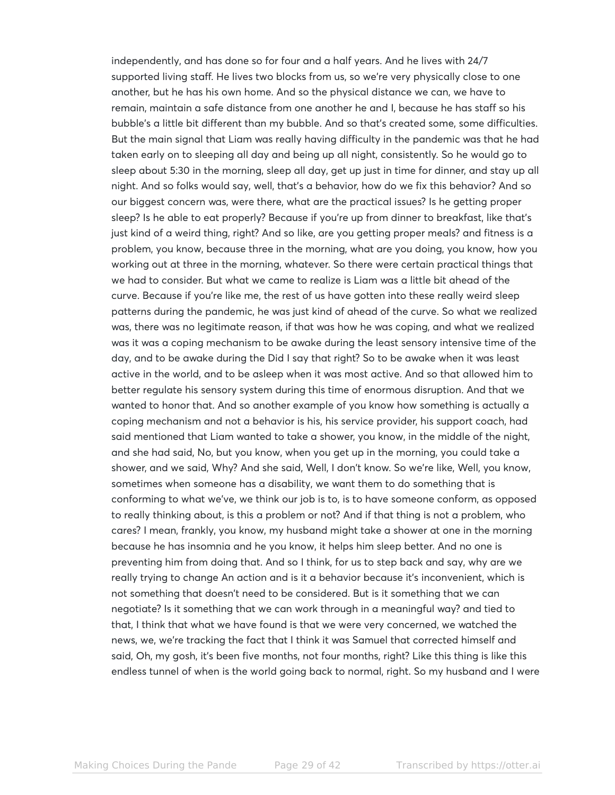independently, and has done so for four and a half years. And he lives with 24/7 supported living staff. He lives two blocks from us, so we're very physically close to one another, but he has his own home. And so the physical distance we can, we have to remain, maintain a safe distance from one another he and I, because he has staff so his bubble's a little bit different than my bubble. And so that's created some, some difficulties. But the main signal that Liam was really having difficulty in the pandemic was that he had taken early on to sleeping all day and being up all night, consistently. So he would go to sleep about 5:30 in the morning, sleep all day, get up just in time for dinner, and stay up all night. And so folks would say, well, that's a behavior, how do we fix this behavior? And so our biggest concern was, were there, what are the practical issues? Is he getting proper sleep? Is he able to eat properly? Because if you're up from dinner to breakfast, like that's just kind of a weird thing, right? And so like, are you getting proper meals? and fitness is a problem, you know, because three in the morning, what are you doing, you know, how you working out at three in the morning, whatever. So there were certain practical things that we had to consider. But what we came to realize is Liam was a little bit ahead of the curve. Because if you're like me, the rest of us have gotten into these really weird sleep patterns during the pandemic, he was just kind of ahead of the curve. So what we realized was, there was no legitimate reason, if that was how he was coping, and what we realized was it was a coping mechanism to be awake during the least sensory intensive time of the day, and to be awake during the Did I say that right? So to be awake when it was least active in the world, and to be asleep when it was most active. And so that allowed him to better regulate his sensory system during this time of enormous disruption. And that we wanted to honor that. And so another example of you know how something is actually a coping mechanism and not a behavior is his, his service provider, his support coach, had said mentioned that Liam wanted to take a shower, you know, in the middle of the night, and she had said, No, but you know, when you get up in the morning, you could take a shower, and we said, Why? And she said, Well, I don't know. So we're like, Well, you know, sometimes when someone has a disability, we want them to do something that is conforming to what we've, we think our job is to, is to have someone conform, as opposed to really thinking about, is this a problem or not? And if that thing is not a problem, who cares? I mean, frankly, you know, my husband might take a shower at one in the morning because he has insomnia and he you know, it helps him sleep better. And no one is preventing him from doing that. And so I think, for us to step back and say, why are we really trying to change An action and is it a behavior because it's inconvenient, which is not something that doesn't need to be considered. But is it something that we can negotiate? Is it something that we can work through in a meaningful way? and tied to that, I think that what we have found is that we were very concerned, we watched the news, we, we're tracking the fact that I think it was Samuel that corrected himself and said, Oh, my gosh, it's been five months, not four months, right? Like this thing is like this endless tunnel of when is the world going back to normal, right. So my husband and I were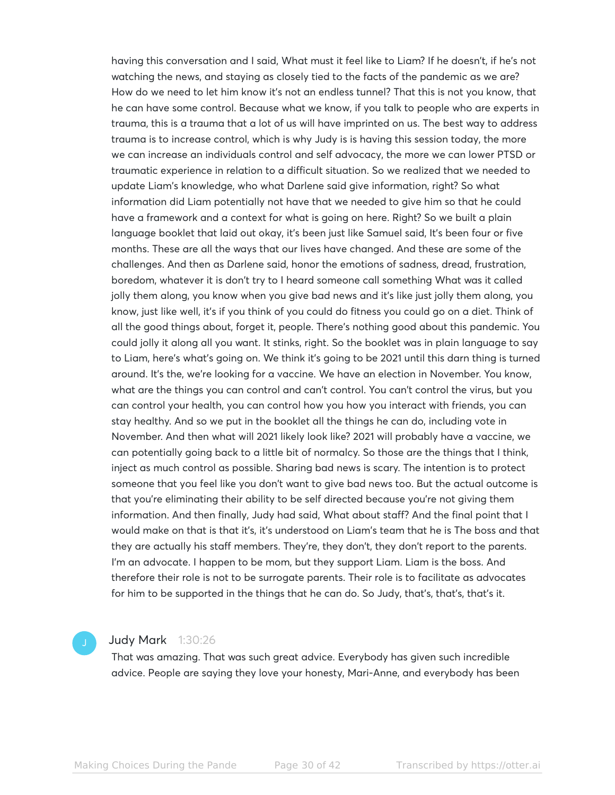having this conversation and I said, What must it feel like to Liam? If he doesn't, if he's not watching the news, and staying as closely tied to the facts of the pandemic as we are? How do we need to let him know it's not an endless tunnel? That this is not you know, that he can have some control. Because what we know, if you talk to people who are experts in trauma, this is a trauma that a lot of us will have imprinted on us. The best way to address trauma is to increase control, which is why Judy is is having this session today, the more we can increase an individuals control and self advocacy, the more we can lower PTSD or traumatic experience in relation to a difficult situation. So we realized that we needed to update Liam's knowledge, who what Darlene said give information, right? So what information did Liam potentially not have that we needed to give him so that he could have a framework and a context for what is going on here. Right? So we built a plain language booklet that laid out okay, it's been just like Samuel said, It's been four or five months. These are all the ways that our lives have changed. And these are some of the challenges. And then as Darlene said, honor the emotions of sadness, dread, frustration, boredom, whatever it is don't try to I heard someone call something What was it called jolly them along, you know when you give bad news and it's like just jolly them along, you know, just like well, it's if you think of you could do fitness you could go on a diet. Think of all the good things about, forget it, people. There's nothing good about this pandemic. You could jolly it along all you want. It stinks, right. So the booklet was in plain language to say to Liam, here's what's going on. We think it's going to be 2021 until this darn thing is turned around. It's the, we're looking for a vaccine. We have an election in November. You know, what are the things you can control and can't control. You can't control the virus, but you can control your health, you can control how you how you interact with friends, you can stay healthy. And so we put in the booklet all the things he can do, including vote in November. And then what will 2021 likely look like? 2021 will probably have a vaccine, we can potentially going back to a little bit of normalcy. So those are the things that I think, inject as much control as possible. Sharing bad news is scary. The intention is to protect someone that you feel like you don't want to give bad news too. But the actual outcome is that you're eliminating their ability to be self directed because you're not giving them information. And then finally, Judy had said, What about staff? And the final point that I would make on that is that it's, it's understood on Liam's team that he is The boss and that they are actually his staff members. They're, they don't, they don't report to the parents. I'm an advocate. I happen to be mom, but they support Liam. Liam is the boss. And therefore their role is not to be surrogate parents. Their role is to facilitate as advocates for him to be supported in the things that he can do. So Judy, that's, that's, that's it.

#### Judy Mark 1:30:26

That was amazing. That was such great advice. Everybody has given such incredible advice. People are saying they love your honesty, Mari-Anne, and everybody has been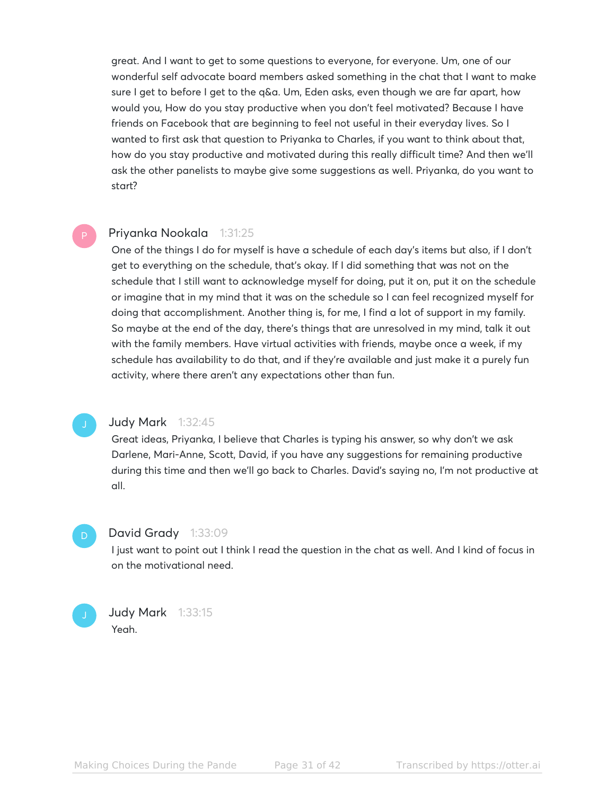great. And I want to get to some questions to everyone, for everyone. Um, one of our wonderful self advocate board members asked something in the chat that I want to make sure I get to before I get to the q&a. Um, Eden asks, even though we are far apart, how would you, How do you stay productive when you don't feel motivated? Because I have friends on Facebook that are beginning to feel not useful in their everyday lives. So I wanted to first ask that question to Priyanka to Charles, if you want to think about that, how do you stay productive and motivated during this really difficult time? And then we'll ask the other panelists to maybe give some suggestions as well. Priyanka, do you want to start?

#### Priyanka Nookala 1:31:25

One of the things I do for myself is have a schedule of each day's items but also, if I don't get to everything on the schedule, that's okay. If I did something that was not on the schedule that I still want to acknowledge myself for doing, put it on, put it on the schedule or imagine that in my mind that it was on the schedule so I can feel recognized myself for doing that accomplishment. Another thing is, for me, I find a lot of support in my family. So maybe at the end of the day, there's things that are unresolved in my mind, talk it out with the family members. Have virtual activities with friends, maybe once a week, if my schedule has availability to do that, and if they're available and just make it a purely fun activity, where there aren't any expectations other than fun.

D

#### Judy Mark 1:32:45

Great ideas, Priyanka, I believe that Charles is typing his answer, so why don't we ask Darlene, Mari-Anne, Scott, David, if you have any suggestions for remaining productive during this time and then we'll go back to Charles. David's saying no, I'm not productive at all.

#### David Grady 1:33:09

I just want to point out I think I read the question in the chat as well. And I kind of focus in on the motivational need.

**Judy Mark** 1:33:15 Yeah.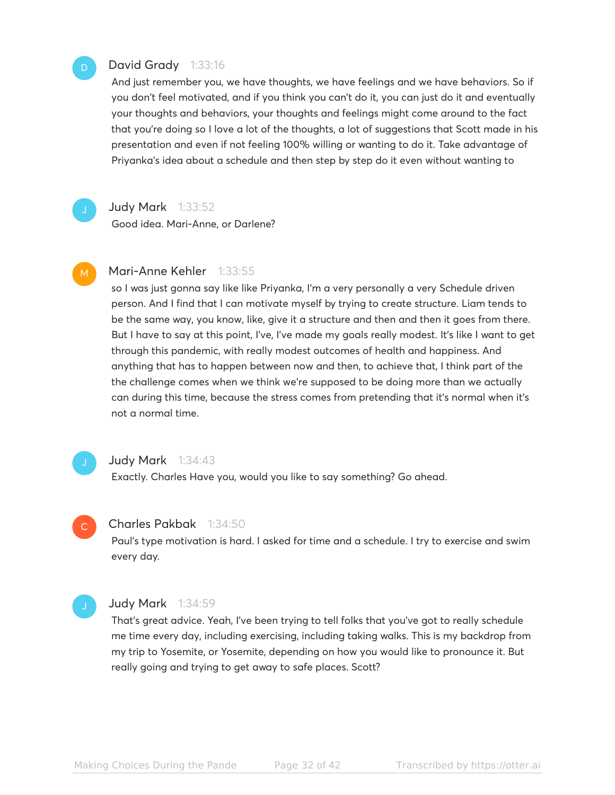#### David Grady 1:33:16

And just remember you, we have thoughts, we have feelings and we have behaviors. So if you don't feel motivated, and if you think you can't do it, you can just do it and eventually your thoughts and behaviors, your thoughts and feelings might come around to the fact that you're doing so I love a lot of the thoughts, a lot of suggestions that Scott made in his presentation and even if not feeling 100% willing or wanting to do it. Take advantage of Priyanka's idea about a schedule and then step by step do it even without wanting to

#### **Judy Mark** 1:33:52

Good idea. Mari-Anne, or Darlene?

#### Mari-Anne Kehler 1:33:55 M

so I was just gonna say like like Priyanka, I'm a very personally a very Schedule driven person. And I find that I can motivate myself by trying to create structure. Liam tends to be the same way, you know, like, give it a structure and then and then it goes from there. But I have to say at this point, I've, I've made my goals really modest. It's like I want to get through this pandemic, with really modest outcomes of health and happiness. And anything that has to happen between now and then, to achieve that, I think part of the the challenge comes when we think we're supposed to be doing more than we actually can during this time, because the stress comes from pretending that it's normal when it's not a normal time.

#### Judy Mark 1:34:43

Exactly. Charles Have you, would you like to say something? Go ahead.

#### Charles Pakbak 1:34:50

Paul's type motivation is hard. I asked for time and a schedule. I try to exercise and swim every day.

#### Judy Mark 1:34:59

 $\mathbb{C}^{\times}$ 

That's great advice. Yeah, I've been trying to tell folks that you've got to really schedule me time every day, including exercising, including taking walks. This is my backdrop from my trip to Yosemite, or Yosemite, depending on how you would like to pronounce it. But really going and trying to get away to safe places. Scott?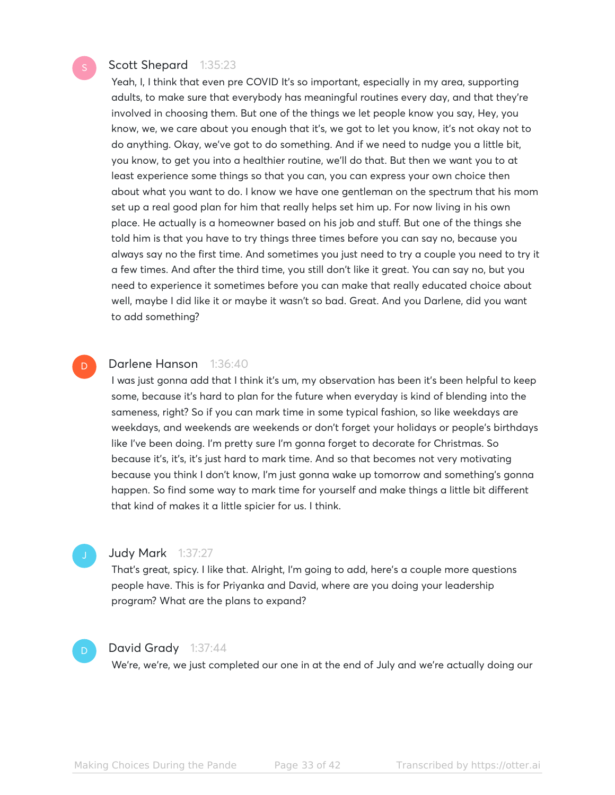#### Scott Shepard 1:35:23

Yeah, I, I think that even pre COVID It's so important, especially in my area, supporting adults, to make sure that everybody has meaningful routines every day, and that they're involved in choosing them. But one of the things we let people know you say, Hey, you know, we, we care about you enough that it's, we got to let you know, it's not okay not to do anything. Okay, we've got to do something. And if we need to nudge you a little bit, you know, to get you into a healthier routine, we'll do that. But then we want you to at least experience some things so that you can, you can express your own choice then about what you want to do. I know we have one gentleman on the spectrum that his mom set up a real good plan for him that really helps set him up. For now living in his own place. He actually is a homeowner based on his job and stuff. But one of the things she told him is that you have to try things three times before you can say no, because you always say no the first time. And sometimes you just need to try a couple you need to try it a few times. And after the third time, you still don't like it great. You can say no, but you need to experience it sometimes before you can make that really educated choice about well, maybe I did like it or maybe it wasn't so bad. Great. And you Darlene, did you want to add something?

#### Darlene Hanson 1:36:40 D

I was just gonna add that I think it's um, my observation has been it's been helpful to keep some, because it's hard to plan for the future when everyday is kind of blending into the sameness, right? So if you can mark time in some typical fashion, so like weekdays are weekdays, and weekends are weekends or don't forget your holidays or people's birthdays like I've been doing. I'm pretty sure I'm gonna forget to decorate for Christmas. So because it's, it's, it's just hard to mark time. And so that becomes not very motivating because you think I don't know, I'm just gonna wake up tomorrow and something's gonna happen. So find some way to mark time for yourself and make things a little bit different that kind of makes it a little spicier for us. I think.

#### Judy Mark 1:37:27

That's great, spicy. I like that. Alright, I'm going to add, here's a couple more questions people have. This is for Priyanka and David, where are you doing your leadership program? What are the plans to expand?

#### David Grady 1:37:44

We're, we're, we just completed our one in at the end of July and we're actually doing our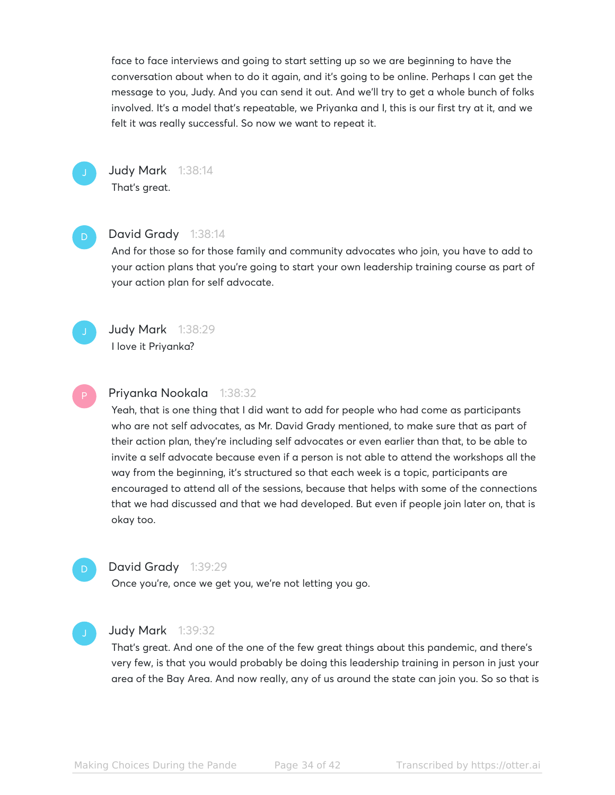face to face interviews and going to start setting up so we are beginning to have the conversation about when to do it again, and it's going to be online. Perhaps I can get the message to you, Judy. And you can send it out. And we'll try to get a whole bunch of folks involved. It's a model that's repeatable, we Priyanka and I, this is our first try at it, and we felt it was really successful. So now we want to repeat it.



**Judy Mark** 1:38:14 That's great.

#### David Grady 1:38:14

And for those so for those family and community advocates who join, you have to add to your action plans that you're going to start your own leadership training course as part of your action plan for self advocate.



Judy Mark 1:38:29 I love it Priyanka?

#### Priyanka Nookala 1:38:32

Yeah, that is one thing that I did want to add for people who had come as participants who are not self advocates, as Mr. David Grady mentioned, to make sure that as part of their action plan, they're including self advocates or even earlier than that, to be able to invite a self advocate because even if a person is not able to attend the workshops all the way from the beginning, it's structured so that each week is a topic, participants are encouraged to attend all of the sessions, because that helps with some of the connections that we had discussed and that we had developed. But even if people join later on, that is okay too.

### D

#### David Grady 1:39:29

Once you're, once we get you, we're not letting you go.

#### **Judy Mark** 1:39:32

That's great. And one of the one of the few great things about this pandemic, and there's very few, is that you would probably be doing this leadership training in person in just your area of the Bay Area. And now really, any of us around the state can join you. So so that is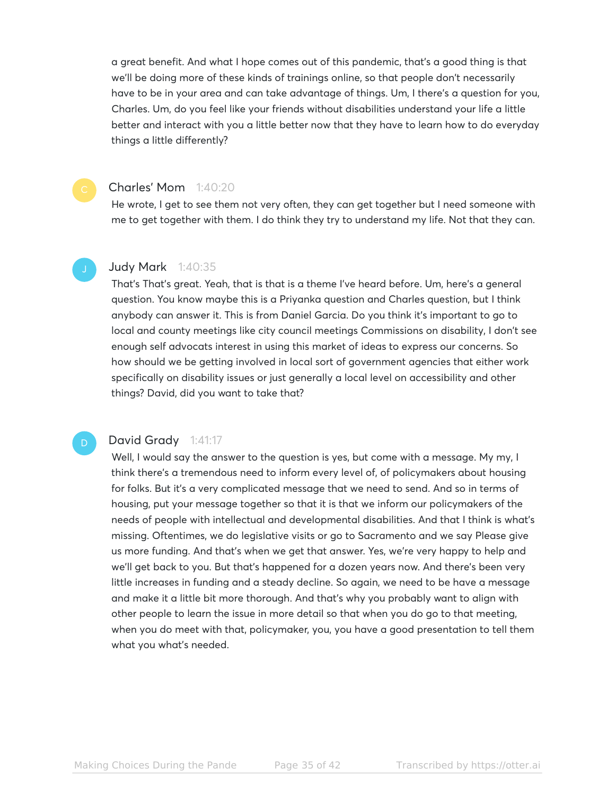a great benefit. And what I hope comes out of this pandemic, that's a good thing is that we'll be doing more of these kinds of trainings online, so that people don't necessarily have to be in your area and can take advantage of things. Um, I there's a question for you, Charles. Um, do you feel like your friends without disabilities understand your life a little better and interact with you a little better now that they have to learn how to do everyday things a little differently?

#### Charles' Mom 1:40:20

He wrote, I get to see them not very often, they can get together but I need someone with me to get together with them. I do think they try to understand my life. Not that they can.

#### Judy Mark 1:40:35

That's That's great. Yeah, that is that is a theme I've heard before. Um, here's a general question. You know maybe this is a Priyanka question and Charles question, but I think anybody can answer it. This is from Daniel Garcia. Do you think it's important to go to local and county meetings like city council meetings Commissions on disability, I don't see enough self advocats interest in using this market of ideas to express our concerns. So how should we be getting involved in local sort of government agencies that either work specifically on disability issues or just generally a local level on accessibility and other things? David, did you want to take that?

#### David Grady 1:41:17

Well, I would say the answer to the question is yes, but come with a message. My my, I think there's a tremendous need to inform every level of, of policymakers about housing for folks. But it's a very complicated message that we need to send. And so in terms of housing, put your message together so that it is that we inform our policymakers of the needs of people with intellectual and developmental disabilities. And that I think is what's missing. Oftentimes, we do legislative visits or go to Sacramento and we say Please give us more funding. And that's when we get that answer. Yes, we're very happy to help and we'll get back to you. But that's happened for a dozen years now. And there's been very little increases in funding and a steady decline. So again, we need to be have a message and make it a little bit more thorough. And that's why you probably want to align with other people to learn the issue in more detail so that when you do go to that meeting, when you do meet with that, policymaker, you, you have a good presentation to tell them what you what's needed.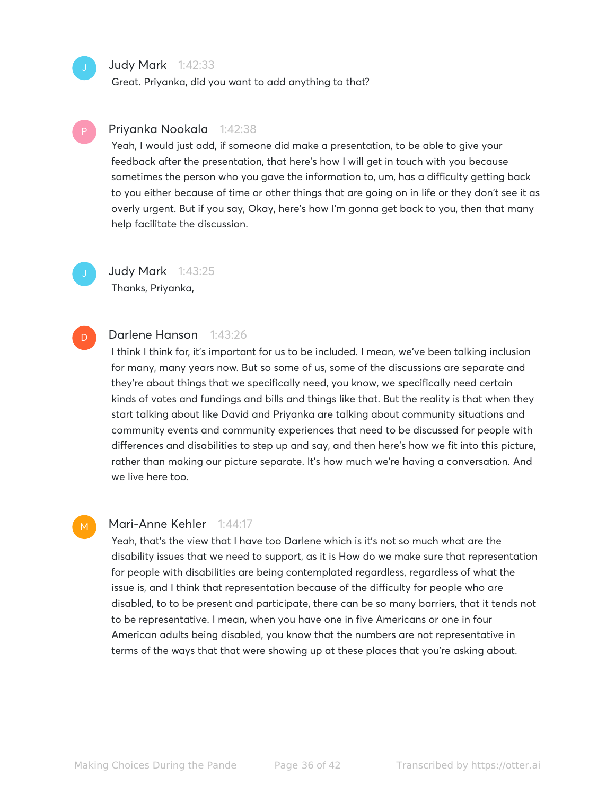#### Judy Mark 1:42:33

Great. Priyanka, did you want to add anything to that?

#### Priyanka Nookala 1:42:38

Yeah, I would just add, if someone did make a presentation, to be able to give your feedback after the presentation, that here's how I will get in touch with you because sometimes the person who you gave the information to, um, has a difficulty getting back to you either because of time or other things that are going on in life or they don't see it as overly urgent. But if you say, Okay, here's how I'm gonna get back to you, then that many help facilitate the discussion.

**Judy Mark** 1:43:25 Thanks, Priyanka,

#### Darlene Hanson 1:43:26 D

I think I think for, it's important for us to be included. I mean, we've been talking inclusion for many, many years now. But so some of us, some of the discussions are separate and they're about things that we specifically need, you know, we specifically need certain kinds of votes and fundings and bills and things like that. But the reality is that when they start talking about like David and Priyanka are talking about community situations and community events and community experiences that need to be discussed for people with differences and disabilities to step up and say, and then here's how we fit into this picture, rather than making our picture separate. It's how much we're having a conversation. And we live here too.

#### M

#### Mari-Anne Kehler 1:44:17

Yeah, that's the view that I have too Darlene which is it's not so much what are the disability issues that we need to support, as it is How do we make sure that representation for people with disabilities are being contemplated regardless, regardless of what the issue is, and I think that representation because of the difficulty for people who are disabled, to to be present and participate, there can be so many barriers, that it tends not to be representative. I mean, when you have one in five Americans or one in four American adults being disabled, you know that the numbers are not representative in terms of the ways that that were showing up at these places that you're asking about.

Making Choices During the Pande Page 36 of 42 Transcribed by https://otter.ai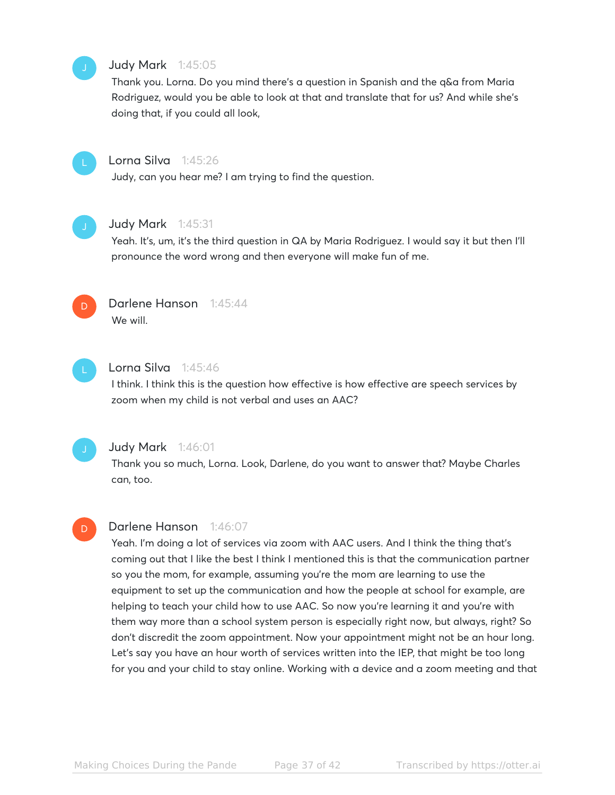#### Judy Mark 1:45:05

Thank you. Lorna. Do you mind there's a question in Spanish and the q&a from Maria Rodriguez, would you be able to look at that and translate that for us? And while she's doing that, if you could all look,



#### Lorna Silva 1:45:26

Judy, can you hear me? I am trying to find the question.



#### Judy Mark 1:45:31

Yeah. It's, um, it's the third question in QA by Maria Rodriguez. I would say it but then I'll pronounce the word wrong and then everyone will make fun of me.



#### Darlene Hanson 1:45:44 We will.



#### Lorna Silva 1:45:46

I think. I think this is the question how effective is how effective are speech services by zoom when my child is not verbal and uses an AAC?



#### Judy Mark 1:46:01

Thank you so much, Lorna. Look, Darlene, do you want to answer that? Maybe Charles can, too.

# D

#### Darlene Hanson 1:46:07

Yeah. I'm doing a lot of services via zoom with AAC users. And I think the thing that's coming out that I like the best I think I mentioned this is that the communication partner so you the mom, for example, assuming you're the mom are learning to use the equipment to set up the communication and how the people at school for example, are helping to teach your child how to use AAC. So now you're learning it and you're with them way more than a school system person is especially right now, but always, right? So don't discredit the zoom appointment. Now your appointment might not be an hour long. Let's say you have an hour worth of services written into the IEP, that might be too long for you and your child to stay online. Working with a device and a zoom meeting and that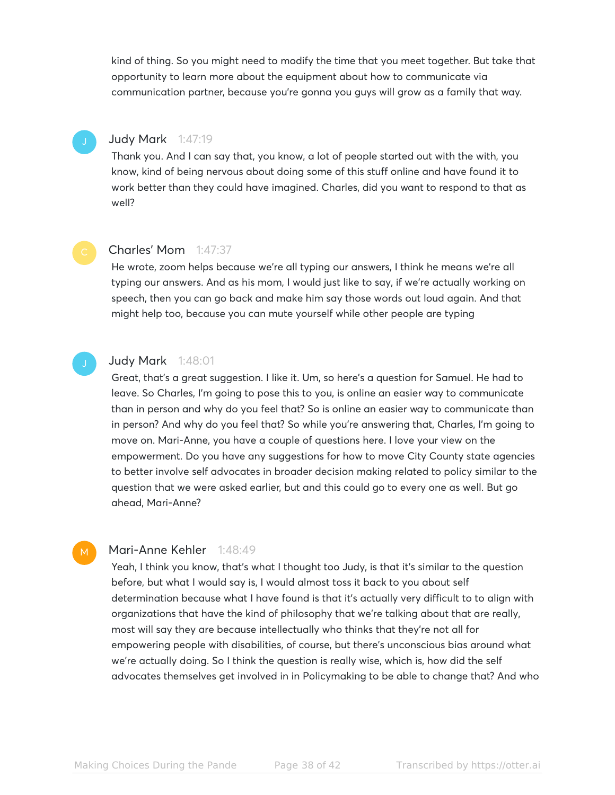kind of thing. So you might need to modify the time that you meet together. But take that opportunity to learn more about the equipment about how to communicate via communication partner, because you're gonna you guys will grow as a family that way.

### Judy Mark 1:47:19

Thank you. And I can say that, you know, a lot of people started out with the with, you know, kind of being nervous about doing some of this stuff online and have found it to work better than they could have imagined. Charles, did you want to respond to that as well?



#### Charles' Mom 1:47:37

He wrote, zoom helps because we're all typing our answers, I think he means we're all typing our answers. And as his mom, I would just like to say, if we're actually working on speech, then you can go back and make him say those words out loud again. And that might help too, because you can mute yourself while other people are typing



M

#### Judy Mark 1:48:01

Great, that's a great suggestion. I like it. Um, so here's a question for Samuel. He had to leave. So Charles, I'm going to pose this to you, is online an easier way to communicate than in person and why do you feel that? So is online an easier way to communicate than in person? And why do you feel that? So while you're answering that, Charles, I'm going to move on. Mari-Anne, you have a couple of questions here. I love your view on the empowerment. Do you have any suggestions for how to move City County state agencies to better involve self advocates in broader decision making related to policy similar to the question that we were asked earlier, but and this could go to every one as well. But go ahead, Mari-Anne?

#### Mari-Anne Kehler 1:48:49

Yeah, I think you know, that's what I thought too Judy, is that it's similar to the question before, but what I would say is, I would almost toss it back to you about self determination because what I have found is that it's actually very difficult to to align with organizations that have the kind of philosophy that we're talking about that are really, most will say they are because intellectually who thinks that they're not all for empowering people with disabilities, of course, but there's unconscious bias around what we're actually doing. So I think the question is really wise, which is, how did the self advocates themselves get involved in in Policymaking to be able to change that? And who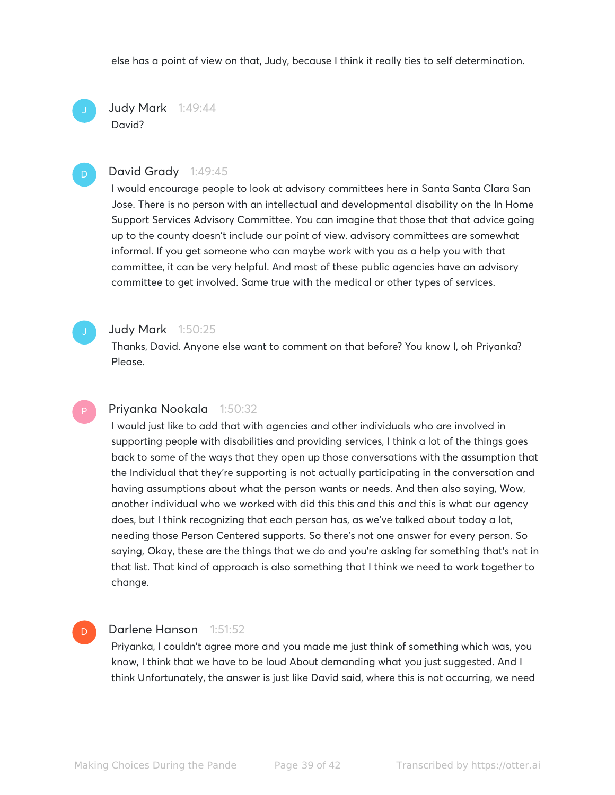else has a point of view on that, Judy, because I think it really ties to self determination.

Judy Mark 1:49:44 David?

#### David Grady 1:49:45

I would encourage people to look at advisory committees here in Santa Santa Clara San Jose. There is no person with an intellectual and developmental disability on the In Home Support Services Advisory Committee. You can imagine that those that that advice going up to the county doesn't include our point of view. advisory committees are somewhat informal. If you get someone who can maybe work with you as a help you with that committee, it can be very helpful. And most of these public agencies have an advisory committee to get involved. Same true with the medical or other types of services.

#### Judy Mark 1:50:25

Thanks, David. Anyone else want to comment on that before? You know I, oh Priyanka? Please.

#### Priyanka Nookala 1:50:32

I would just like to add that with agencies and other individuals who are involved in supporting people with disabilities and providing services, I think a lot of the things goes back to some of the ways that they open up those conversations with the assumption that the Individual that they're supporting is not actually participating in the conversation and having assumptions about what the person wants or needs. And then also saying, Wow, another individual who we worked with did this this and this and this is what our agency does, but I think recognizing that each person has, as we've talked about today a lot, needing those Person Centered supports. So there's not one answer for every person. So saying, Okay, these are the things that we do and you're asking for something that's not in that list. That kind of approach is also something that I think we need to work together to change.

#### Darlene Hanson 1:51:52

 $D$ 

Priyanka, I couldn't agree more and you made me just think of something which was, you know, I think that we have to be loud About demanding what you just suggested. And I think Unfortunately, the answer is just like David said, where this is not occurring, we need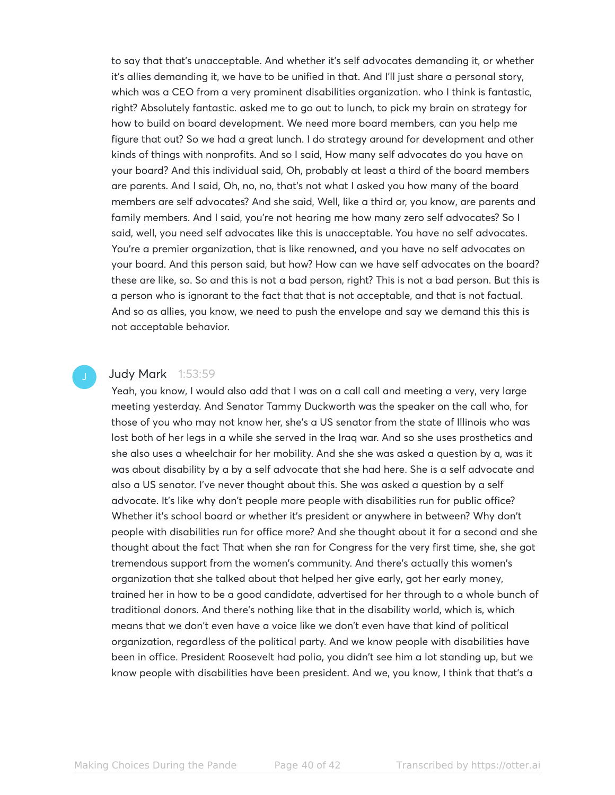to say that that's unacceptable. And whether it's self advocates demanding it, or whether it's allies demanding it, we have to be unified in that. And I'll just share a personal story, which was a CEO from a very prominent disabilities organization. who I think is fantastic, right? Absolutely fantastic. asked me to go out to lunch, to pick my brain on strategy for how to build on board development. We need more board members, can you help me figure that out? So we had a great lunch. I do strategy around for development and other kinds of things with nonprofits. And so I said, How many self advocates do you have on your board? And this individual said, Oh, probably at least a third of the board members are parents. And I said, Oh, no, no, that's not what I asked you how many of the board members are self advocates? And she said, Well, like a third or, you know, are parents and family members. And I said, you're not hearing me how many zero self advocates? So I said, well, you need self advocates like this is unacceptable. You have no self advocates. You're a premier organization, that is like renowned, and you have no self advocates on your board. And this person said, but how? How can we have self advocates on the board? these are like, so. So and this is not a bad person, right? This is not a bad person. But this is a person who is ignorant to the fact that that is not acceptable, and that is not factual. And so as allies, you know, we need to push the envelope and say we demand this this is not acceptable behavior.

#### **Judy Mark** 1:53:59

Yeah, you know, I would also add that I was on a call call and meeting a very, very large meeting yesterday. And Senator Tammy Duckworth was the speaker on the call who, for those of you who may not know her, she's a US senator from the state of Illinois who was lost both of her legs in a while she served in the Iraq war. And so she uses prosthetics and she also uses a wheelchair for her mobility. And she she was asked a question by a, was it was about disability by a by a self advocate that she had here. She is a self advocate and also a US senator. I've never thought about this. She was asked a question by a self advocate. It's like why don't people more people with disabilities run for public office? Whether it's school board or whether it's president or anywhere in between? Why don't people with disabilities run for office more? And she thought about it for a second and she thought about the fact That when she ran for Congress for the very first time, she, she got tremendous support from the women's community. And there's actually this women's organization that she talked about that helped her give early, got her early money, trained her in how to be a good candidate, advertised for her through to a whole bunch of traditional donors. And there's nothing like that in the disability world, which is, which means that we don't even have a voice like we don't even have that kind of political organization, regardless of the political party. And we know people with disabilities have been in office. President Roosevelt had polio, you didn't see him a lot standing up, but we know people with disabilities have been president. And we, you know, I think that that's a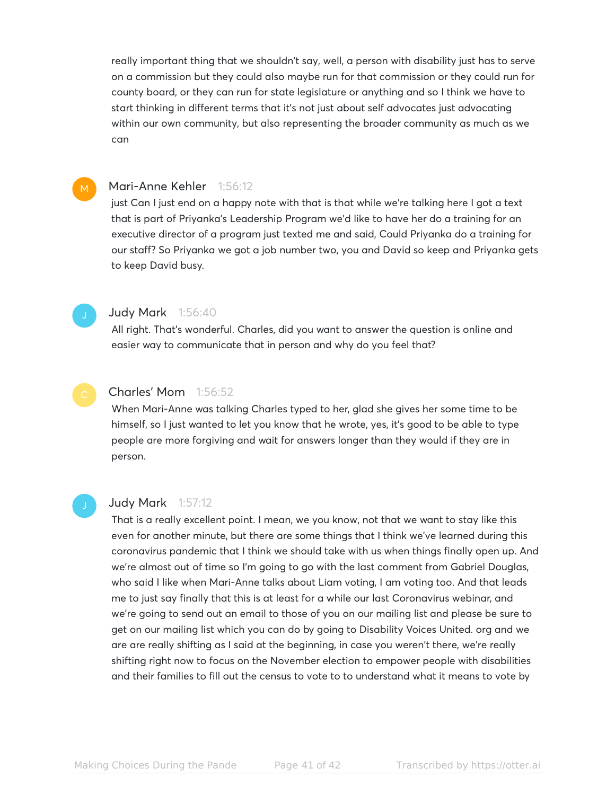really important thing that we shouldn't say, well, a person with disability just has to serve on a commission but they could also maybe run for that commission or they could run for county board, or they can run for state legislature or anything and so I think we have to start thinking in different terms that it's not just about self advocates just advocating within our own community, but also representing the broader community as much as we can

#### M

#### Mari-Anne Kehler 1:56:12

just Can I just end on a happy note with that is that while we're talking here I got a text that is part of Priyanka's Leadership Program we'd like to have her do a training for an executive director of a program just texted me and said, Could Priyanka do a training for our staff? So Priyanka we got a job number two, you and David so keep and Priyanka gets to keep David busy.

#### **Judy Mark** 1:56:40

All right. That's wonderful. Charles, did you want to answer the question is online and easier way to communicate that in person and why do you feel that?

#### Charles' Mom 1:56:52

When Mari-Anne was talking Charles typed to her, glad she gives her some time to be himself, so I just wanted to let you know that he wrote, yes, it's good to be able to type people are more forgiving and wait for answers longer than they would if they are in person.

#### Judy Mark 1:57:12

That is a really excellent point. I mean, we you know, not that we want to stay like this even for another minute, but there are some things that I think we've learned during this coronavirus pandemic that I think we should take with us when things finally open up. And we're almost out of time so I'm going to go with the last comment from Gabriel Douglas, who said I like when Mari-Anne talks about Liam voting, I am voting too. And that leads me to just say finally that this is at least for a while our last Coronavirus webinar, and we're going to send out an email to those of you on our mailing list and please be sure to get on our mailing list which you can do by going to Disability Voices United. org and we are are really shifting as I said at the beginning, in case you weren't there, we're really shifting right now to focus on the November election to empower people with disabilities and their families to fill out the census to vote to to understand what it means to vote by